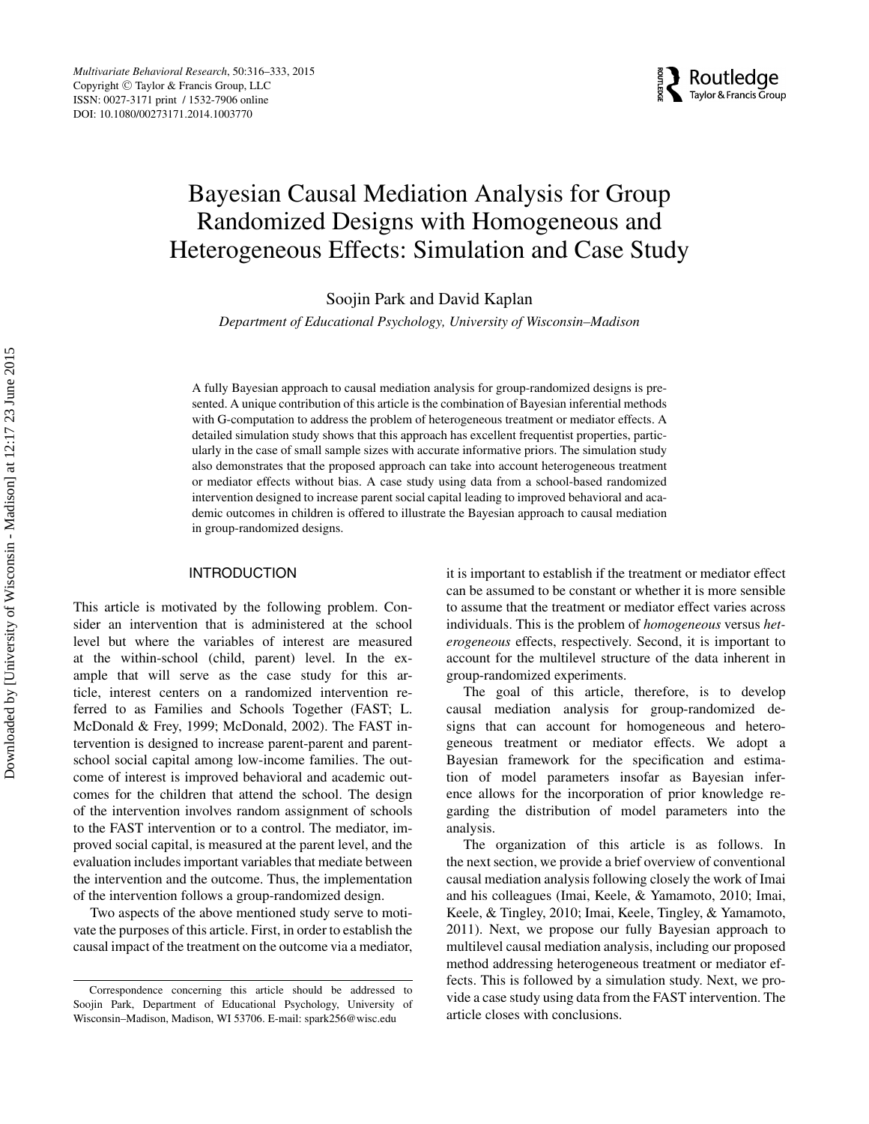# Bayesian Causal Mediation Analysis for Group Randomized Designs with Homogeneous and Heterogeneous Effects: Simulation and Case Study

Soojin Park and David Kaplan

*Department of Educational Psychology, University of Wisconsin–Madison*

A fully Bayesian approach to causal mediation analysis for group-randomized designs is presented. A unique contribution of this article is the combination of Bayesian inferential methods with G-computation to address the problem of heterogeneous treatment or mediator effects. A detailed simulation study shows that this approach has excellent frequentist properties, particularly in the case of small sample sizes with accurate informative priors. The simulation study also demonstrates that the proposed approach can take into account heterogeneous treatment or mediator effects without bias. A case study using data from a school-based randomized intervention designed to increase parent social capital leading to improved behavioral and academic outcomes in children is offered to illustrate the Bayesian approach to causal mediation in group-randomized designs.

## INTRODUCTION

This article is motivated by the following problem. Consider an intervention that is administered at the school level but where the variables of interest are measured at the within-school (child, parent) level. In the example that will serve as the case study for this article, interest centers on a randomized intervention referred to as Families and Schools Together (FAST; L. McDonald & Frey, 1999; McDonald, 2002). The FAST intervention is designed to increase parent-parent and parentschool social capital among low-income families. The outcome of interest is improved behavioral and academic outcomes for the children that attend the school. The design of the intervention involves random assignment of schools to the FAST intervention or to a control. The mediator, improved social capital, is measured at the parent level, and the evaluation includes important variables that mediate between the intervention and the outcome. Thus, the implementation of the intervention follows a group-randomized design.

Two aspects of the above mentioned study serve to motivate the purposes of this article. First, in order to establish the causal impact of the treatment on the outcome via a mediator,

it is important to establish if the treatment or mediator effect can be assumed to be constant or whether it is more sensible to assume that the treatment or mediator effect varies across individuals. This is the problem of *homogeneous* versus *heterogeneous* effects, respectively. Second, it is important to account for the multilevel structure of the data inherent in group-randomized experiments.

The goal of this article, therefore, is to develop causal mediation analysis for group-randomized designs that can account for homogeneous and heterogeneous treatment or mediator effects. We adopt a Bayesian framework for the specification and estimation of model parameters insofar as Bayesian inference allows for the incorporation of prior knowledge regarding the distribution of model parameters into the analysis.

The organization of this article is as follows. In the next section, we provide a brief overview of conventional causal mediation analysis following closely the work of Imai and his colleagues (Imai, Keele, & Yamamoto, 2010; Imai, Keele, & Tingley, 2010; Imai, Keele, Tingley, & Yamamoto, 2011). Next, we propose our fully Bayesian approach to multilevel causal mediation analysis, including our proposed method addressing heterogeneous treatment or mediator effects. This is followed by a simulation study. Next, we provide a case study using data from the FAST intervention. The article closes with conclusions.

Correspondence concerning this article should be addressed to Soojin Park, Department of Educational Psychology, University of Wisconsin–Madison, Madison, WI 53706. E-mail: spark256@wisc.edu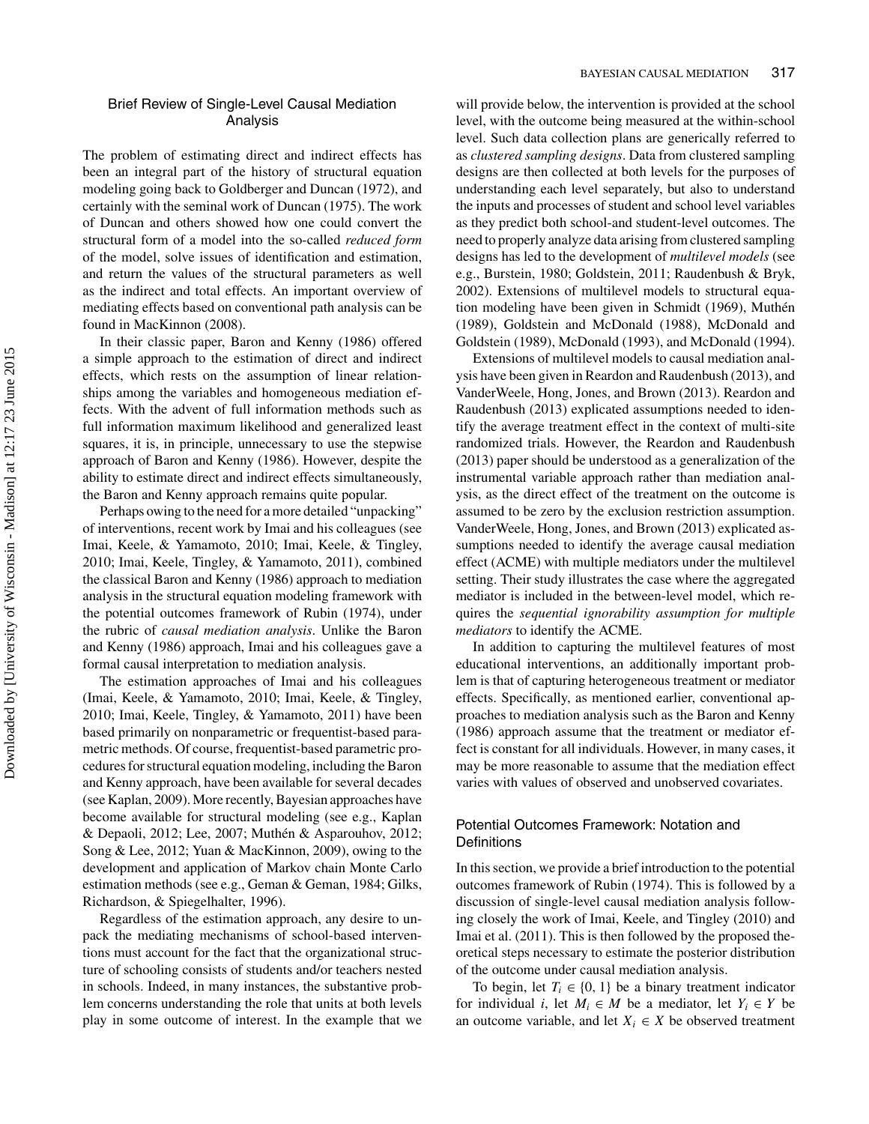# Brief Review of Single-Level Causal Mediation Analysis

The problem of estimating direct and indirect effects has been an integral part of the history of structural equation modeling going back to Goldberger and Duncan (1972), and certainly with the seminal work of Duncan (1975). The work of Duncan and others showed how one could convert the structural form of a model into the so-called *reduced form* of the model, solve issues of identification and estimation, and return the values of the structural parameters as well as the indirect and total effects. An important overview of mediating effects based on conventional path analysis can be found in MacKinnon (2008).

In their classic paper, Baron and Kenny (1986) offered a simple approach to the estimation of direct and indirect effects, which rests on the assumption of linear relationships among the variables and homogeneous mediation effects. With the advent of full information methods such as full information maximum likelihood and generalized least squares, it is, in principle, unnecessary to use the stepwise approach of Baron and Kenny (1986). However, despite the ability to estimate direct and indirect effects simultaneously, the Baron and Kenny approach remains quite popular.

Perhaps owing to the need for a more detailed "unpacking" of interventions, recent work by Imai and his colleagues (see Imai, Keele, & Yamamoto, 2010; Imai, Keele, & Tingley, 2010; Imai, Keele, Tingley, & Yamamoto, 2011), combined the classical Baron and Kenny (1986) approach to mediation analysis in the structural equation modeling framework with the potential outcomes framework of Rubin (1974), under the rubric of *causal mediation analysis*. Unlike the Baron and Kenny (1986) approach, Imai and his colleagues gave a formal causal interpretation to mediation analysis.

The estimation approaches of Imai and his colleagues (Imai, Keele, & Yamamoto, 2010; Imai, Keele, & Tingley, 2010; Imai, Keele, Tingley, & Yamamoto, 2011) have been based primarily on nonparametric or frequentist-based parametric methods. Of course, frequentist-based parametric procedures for structural equation modeling, including the Baron and Kenny approach, have been available for several decades (see Kaplan, 2009). More recently, Bayesian approaches have become available for structural modeling (see e.g., Kaplan & Depaoli, 2012; Lee, 2007; Muthén & Asparouhov, 2012; Song & Lee, 2012; Yuan & MacKinnon, 2009), owing to the development and application of Markov chain Monte Carlo estimation methods (see e.g., Geman & Geman, 1984; Gilks, Richardson, & Spiegelhalter, 1996).

Regardless of the estimation approach, any desire to unpack the mediating mechanisms of school-based interventions must account for the fact that the organizational structure of schooling consists of students and/or teachers nested in schools. Indeed, in many instances, the substantive problem concerns understanding the role that units at both levels play in some outcome of interest. In the example that we

will provide below, the intervention is provided at the school level, with the outcome being measured at the within-school level. Such data collection plans are generically referred to as *clustered sampling designs*. Data from clustered sampling designs are then collected at both levels for the purposes of understanding each level separately, but also to understand the inputs and processes of student and school level variables as they predict both school-and student-level outcomes. The need to properly analyze data arising from clustered sampling designs has led to the development of *multilevel models* (see e.g., Burstein, 1980; Goldstein, 2011; Raudenbush & Bryk, 2002). Extensions of multilevel models to structural equation modeling have been given in Schmidt (1969), Muthén (1989), Goldstein and McDonald (1988), McDonald and Goldstein (1989), McDonald (1993), and McDonald (1994).

Extensions of multilevel models to causal mediation analysis have been given in Reardon and Raudenbush (2013), and VanderWeele, Hong, Jones, and Brown (2013). Reardon and Raudenbush (2013) explicated assumptions needed to identify the average treatment effect in the context of multi-site randomized trials. However, the Reardon and Raudenbush (2013) paper should be understood as a generalization of the instrumental variable approach rather than mediation analysis, as the direct effect of the treatment on the outcome is assumed to be zero by the exclusion restriction assumption. VanderWeele, Hong, Jones, and Brown (2013) explicated assumptions needed to identify the average causal mediation effect (ACME) with multiple mediators under the multilevel setting. Their study illustrates the case where the aggregated mediator is included in the between-level model, which requires the *sequential ignorability assumption for multiple mediators* to identify the ACME.

In addition to capturing the multilevel features of most educational interventions, an additionally important problem is that of capturing heterogeneous treatment or mediator effects. Specifically, as mentioned earlier, conventional approaches to mediation analysis such as the Baron and Kenny (1986) approach assume that the treatment or mediator effect is constant for all individuals. However, in many cases, it may be more reasonable to assume that the mediation effect varies with values of observed and unobserved covariates.

# Potential Outcomes Framework: Notation and **Definitions**

In this section, we provide a brief introduction to the potential outcomes framework of Rubin (1974). This is followed by a discussion of single-level causal mediation analysis following closely the work of Imai, Keele, and Tingley (2010) and Imai et al. (2011). This is then followed by the proposed theoretical steps necessary to estimate the posterior distribution of the outcome under causal mediation analysis.

To begin, let  $T_i \in \{0, 1\}$  be a binary treatment indicator for individual *i*, let  $M_i \in M$  be a mediator, let  $Y_i \in Y$  be an outcome variable, and let  $X_i \in X$  be observed treatment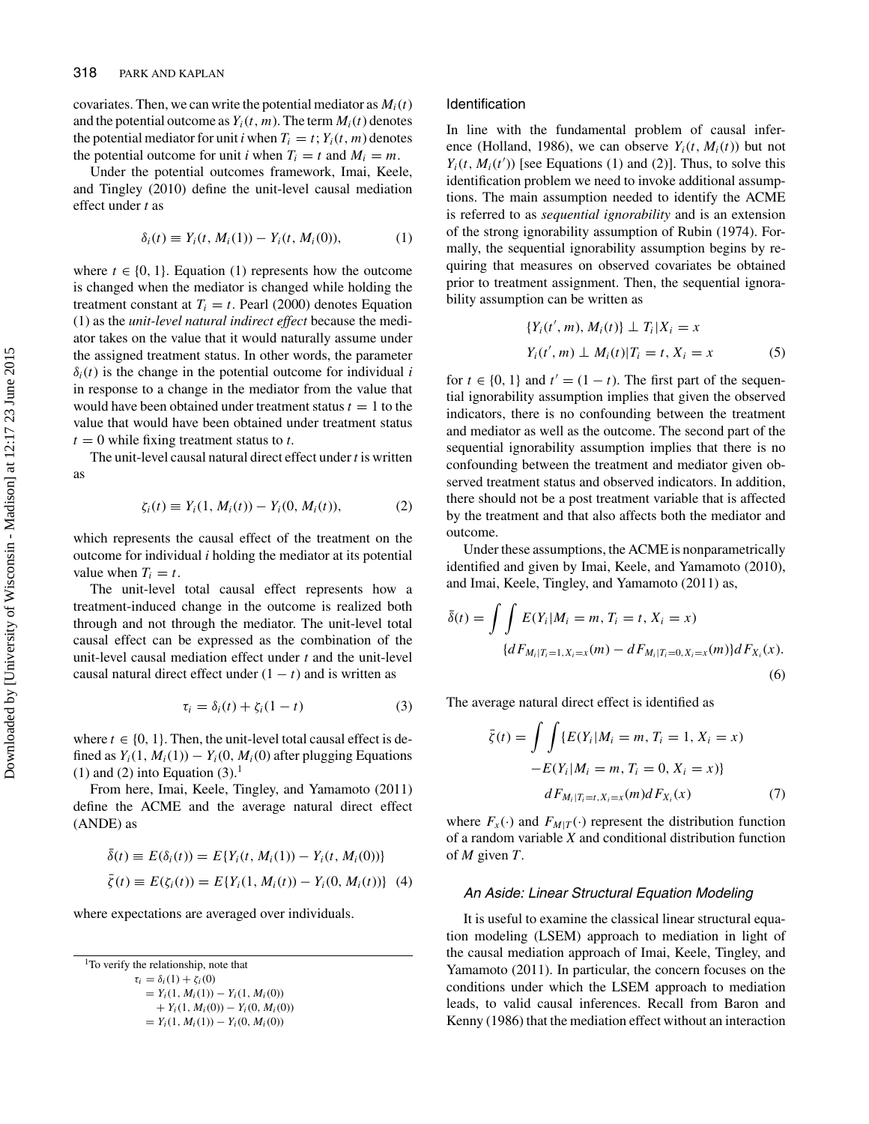covariates. Then, we can write the potential mediator as  $M_i(t)$ and the potential outcome as  $Y_i(t, m)$ . The term  $M_i(t)$  denotes the potential mediator for unit *i* when  $T_i = t$ ;  $Y_i(t, m)$  denotes the potential outcome for unit *i* when  $T_i = t$  and  $M_i = m$ .

Under the potential outcomes framework, Imai, Keele, and Tingley (2010) define the unit-level causal mediation effect under *t* as

$$
\delta_i(t) \equiv Y_i(t, M_i(1)) - Y_i(t, M_i(0)), \tag{1}
$$

where  $t \in \{0, 1\}$ . Equation (1) represents how the outcome is changed when the mediator is changed while holding the treatment constant at  $T_i = t$ . Pearl (2000) denotes Equation (1) as the *unit-level natural indirect effect* because the mediator takes on the value that it would naturally assume under the assigned treatment status. In other words, the parameter  $\delta_i(t)$  is the change in the potential outcome for individual *i* in response to a change in the mediator from the value that would have been obtained under treatment status  $t = 1$  to the value that would have been obtained under treatment status  $t = 0$  while fixing treatment status to  $t$ .

The unit-level causal natural direct effect under *t* is written as

$$
\zeta_i(t) \equiv Y_i(1, M_i(t)) - Y_i(0, M_i(t)), \tag{2}
$$

which represents the causal effect of the treatment on the outcome for individual *i* holding the mediator at its potential value when  $T_i = t$ .

The unit-level total causal effect represents how a treatment-induced change in the outcome is realized both through and not through the mediator. The unit-level total causal effect can be expressed as the combination of the unit-level causal mediation effect under *t* and the unit-level causal natural direct effect under  $(1 - t)$  and is written as

$$
\tau_i = \delta_i(t) + \zeta_i(1-t) \tag{3}
$$

where  $t \in \{0, 1\}$ . Then, the unit-level total causal effect is defined as  $Y_i(1, M_i(1)) - Y_i(0, M_i(0))$  after plugging Equations (1) and (2) into Equation  $(3)$ .<sup>1</sup>

From here, Imai, Keele, Tingley, and Yamamoto (2011) define the ACME and the average natural direct effect (ANDE) as

$$
\bar{\delta}(t) \equiv E(\delta_i(t)) = E\{Y_i(t, M_i(1)) - Y_i(t, M_i(0))\}
$$
  

$$
\bar{\zeta}(t) \equiv E(\zeta_i(t)) = E\{Y_i(1, M_i(t)) - Y_i(0, M_i(t))\}
$$
 (4)

where expectations are averaged over individuals.

<sup>1</sup>To verify the relationship, note that

 $\tau_i = \delta_i(1) + \zeta_i(0)$  $= Y_i(1, M_i(1)) - Y_i(1, M_i(0))$ 

+ 
$$
Y_i(1, M_i(0)) - Y_i(0, M_i(0))
$$
  
=  $Y_i(1, M_i(1)) - Y_i(0, M_i(0))$ 

## Identification

In line with the fundamental problem of causal inference (Holland, 1986), we can observe  $Y_i(t, M_i(t))$  but not  $Y_i(t, M_i(t'))$  [see Equations (1) and (2)]. Thus, to solve this identification problem we need to invoke additional assumptions. The main assumption needed to identify the ACME is referred to as *sequential ignorability* and is an extension of the strong ignorability assumption of Rubin (1974). Formally, the sequential ignorability assumption begins by requiring that measures on observed covariates be obtained prior to treatment assignment. Then, the sequential ignorability assumption can be written as

$$
\{Y_i(t', m), M_i(t)\} \perp T_i | X_i = x
$$
  

$$
Y_i(t', m) \perp M_i(t) | T_i = t, X_i = x
$$
 (5)

for  $t \in \{0, 1\}$  and  $t' = (1 - t)$ . The first part of the sequential ignorability assumption implies that given the observed indicators, there is no confounding between the treatment and mediator as well as the outcome. The second part of the sequential ignorability assumption implies that there is no confounding between the treatment and mediator given observed treatment status and observed indicators. In addition, there should not be a post treatment variable that is affected by the treatment and that also affects both the mediator and outcome.

Under these assumptions, the ACME is nonparametrically identified and given by Imai, Keele, and Yamamoto (2010), and Imai, Keele, Tingley, and Yamamoto (2011) as,

$$
\bar{\delta}(t) = \int \int E(Y_i | M_i = m, T_i = t, X_i = x)
$$
  
\n
$$
\{dF_{M_i | T_i = 1, X_i = x}(m) - dF_{M_i | T_i = 0, X_i = x}(m)\} dF_{X_i}(x).
$$
\n(6)

The average natural direct effect is identified as

$$
\bar{\zeta}(t) = \int \int \{ E(Y_i | M_i = m, T_i = 1, X_i = x) -E(Y_i | M_i = m, T_i = 0, X_i = x) \}
$$
  

$$
dF_{M_i|T_i = t, X_i = x}(m) dF_{X_i}(x)
$$
(7)

where  $F_x(\cdot)$  and  $F_{M|T}(\cdot)$  represent the distribution function of a random variable *X* and conditional distribution function of *M* given *T*.

# *An Aside: Linear Structural Equation Modeling*

It is useful to examine the classical linear structural equation modeling (LSEM) approach to mediation in light of the causal mediation approach of Imai, Keele, Tingley, and Yamamoto (2011). In particular, the concern focuses on the conditions under which the LSEM approach to mediation leads, to valid causal inferences. Recall from Baron and Kenny (1986) that the mediation effect without an interaction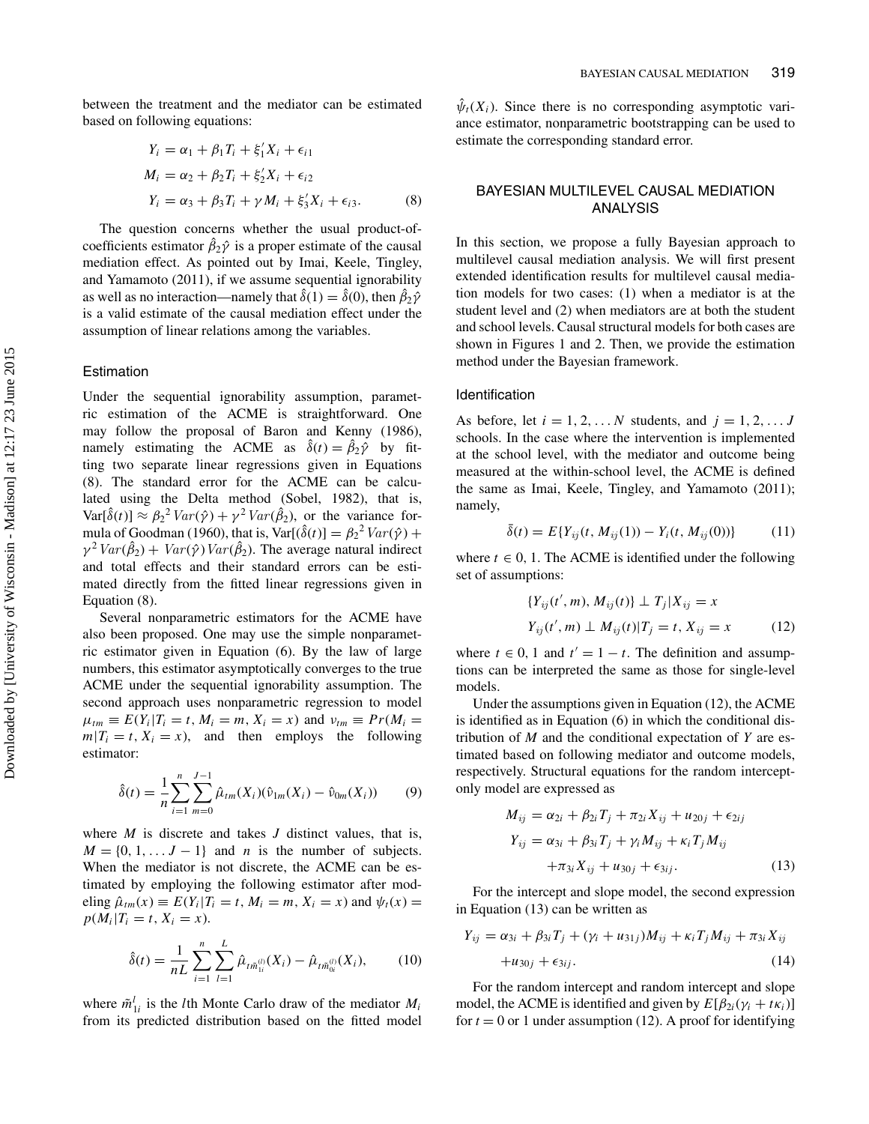$$
Y_i = \alpha_1 + \beta_1 T_i + \xi'_1 X_i + \epsilon_{i1}
$$
  
\n
$$
M_i = \alpha_2 + \beta_2 T_i + \xi'_2 X_i + \epsilon_{i2}
$$
  
\n
$$
Y_i = \alpha_3 + \beta_3 T_i + \gamma M_i + \xi'_3 X_i + \epsilon_{i3}.
$$
\n(8)

The question concerns whether the usual product-ofcoefficients estimator  $\hat{\beta}_2 \hat{\gamma}$  is a proper estimate of the causal mediation effect. As pointed out by Imai, Keele, Tingley, and Yamamoto (2011), if we assume sequential ignorability as well as no interaction—namely that  $\hat{\delta}(1) = \hat{\delta}(0)$ , then  $\hat{\beta}_2 \hat{\gamma}$ is a valid estimate of the causal mediation effect under the assumption of linear relations among the variables.

## Estimation

Under the sequential ignorability assumption, parametric estimation of the ACME is straightforward. One may follow the proposal of Baron and Kenny (1986), namely estimating the ACME as  $\hat{\delta}(t) = \hat{\beta}_2 \hat{\gamma}$  by fitting two separate linear regressions given in Equations (8). The standard error for the ACME can be calculated using the Delta method (Sobel, 1982), that is,  $Var[\hat{\delta}(t)] \approx \beta_2^2 Var(\hat{\gamma}) + \gamma^2 Var(\hat{\beta}_2)$ , or the variance formula of Goodman (1960), that is,  $\text{Var}[(\hat{\delta}(t))] = \beta_2^2 \text{Var}(\hat{\gamma}) +$  $\gamma^2 Var(\hat{\beta}_2) + Var(\hat{\gamma}) Var(\hat{\beta}_2)$ . The average natural indirect and total effects and their standard errors can be estimated directly from the fitted linear regressions given in Equation (8).

Several nonparametric estimators for the ACME have also been proposed. One may use the simple nonparametric estimator given in Equation (6). By the law of large numbers, this estimator asymptotically converges to the true ACME under the sequential ignorability assumption. The second approach uses nonparametric regression to model  $\mu_{tm} \equiv E(Y_i | T_i = t, M_i = m, X_i = x)$  and  $\nu_{tm} \equiv Pr(M_i = t)$  $m|T_i = t, X_i = x$ , and then employs the following estimator:

$$
\hat{\delta}(t) = \frac{1}{n} \sum_{i=1}^{n} \sum_{m=0}^{J-1} \hat{\mu}_{tm}(X_i)(\hat{\nu}_{1m}(X_i) - \hat{\nu}_{0m}(X_i)) \tag{9}
$$

where *M* is discrete and takes *J* distinct values, that is,  $M = \{0, 1, \ldots, J - 1\}$  and *n* is the number of subjects. When the mediator is not discrete, the ACME can be estimated by employing the following estimator after modeling  $\hat{\mu}_{tm}(x) \equiv E(Y_i | T_i = t, M_i = m, X_i = x)$  and  $\psi_t(x) =$  $p(M_i|T_i = t, X_i = x)$ .

$$
\hat{\delta}(t) = \frac{1}{nL} \sum_{i=1}^{n} \sum_{l=1}^{L} \hat{\mu}_{t\tilde{m}_{1i}^{(l)}}(X_i) - \hat{\mu}_{t\tilde{m}_{0i}^{(l)}}(X_i), \qquad (10)
$$

where  $\tilde{m}_{1i}^l$  is the *l*th Monte Carlo draw of the mediator  $M_i$ from its predicted distribution based on the fitted model

 $\hat{\psi}_t(X_i)$ . Since there is no corresponding asymptotic variance estimator, nonparametric bootstrapping can be used to estimate the corresponding standard error.

# BAYESIAN MULTILEVEL CAUSAL MEDIATION ANALYSIS

In this section, we propose a fully Bayesian approach to multilevel causal mediation analysis. We will first present extended identification results for multilevel causal mediation models for two cases: (1) when a mediator is at the student level and (2) when mediators are at both the student and school levels. Causal structural models for both cases are shown in Figures 1 and 2. Then, we provide the estimation method under the Bayesian framework.

## Identification

As before, let  $i = 1, 2, \ldots N$  students, and  $j = 1, 2, \ldots J$ schools. In the case where the intervention is implemented at the school level, with the mediator and outcome being measured at the within-school level, the ACME is defined the same as Imai, Keele, Tingley, and Yamamoto (2011); namely,

$$
\bar{\delta}(t) = E\{Y_{ij}(t, M_{ij}(1)) - Y_i(t, M_{ij}(0))\}
$$
 (11)

where  $t \in 0, 1$ . The ACME is identified under the following set of assumptions:

$$
\{Y_{ij}(t', m), M_{ij}(t)\} \perp T_j | X_{ij} = x
$$
  

$$
Y_{ij}(t', m) \perp M_{ij}(t) | T_j = t, X_{ij} = x
$$
 (12)

where  $t \in 0, 1$  and  $t' = 1 - t$ . The definition and assumptions can be interpreted the same as those for single-level models.

Under the assumptions given in Equation (12), the ACME is identified as in Equation (6) in which the conditional distribution of *M* and the conditional expectation of *Y* are estimated based on following mediator and outcome models, respectively. Structural equations for the random interceptonly model are expressed as

$$
M_{ij} = \alpha_{2i} + \beta_{2i} T_j + \pi_{2i} X_{ij} + u_{20j} + \epsilon_{2ij}
$$
  
\n
$$
Y_{ij} = \alpha_{3i} + \beta_{3i} T_j + \gamma_i M_{ij} + \kappa_i T_j M_{ij}
$$
  
\n
$$
+ \pi_{3i} X_{ij} + u_{30j} + \epsilon_{3ij}.
$$
\n(13)

For the intercept and slope model, the second expression in Equation (13) can be written as

$$
Y_{ij} = \alpha_{3i} + \beta_{3i} T_j + (\gamma_i + u_{31j}) M_{ij} + \kappa_i T_j M_{ij} + \pi_{3i} X_{ij} + u_{30j} + \epsilon_{3ij}.
$$
\n(14)

For the random intercept and random intercept and slope model, the ACME is identified and given by  $E[\beta_{2i}(\gamma_i + t\kappa_i)]$ for  $t = 0$  or 1 under assumption (12). A proof for identifying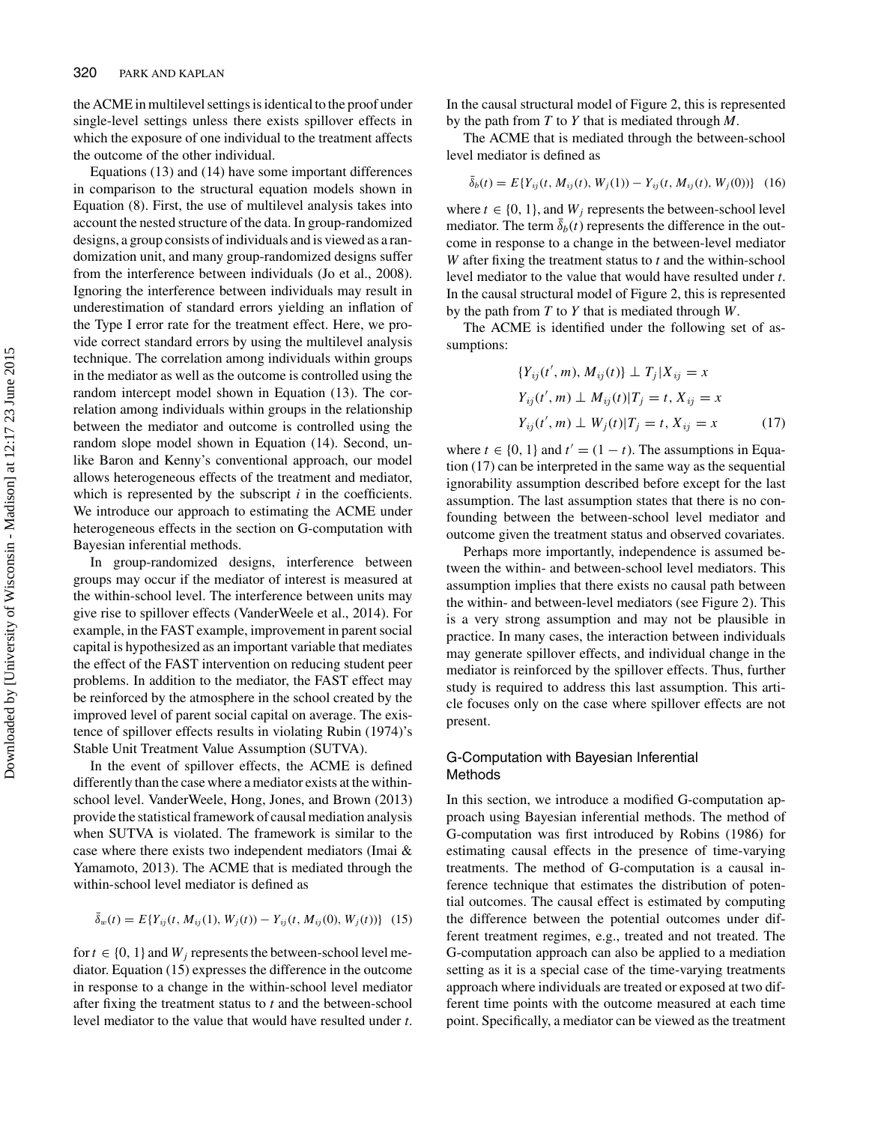the ACME in multilevel settings is identical to the proof under single-level settings unless there exists spillover effects in which the exposure of one individual to the treatment affects the outcome of the other individual.

Equations (13) and (14) have some important differences in comparison to the structural equation models shown in Equation (8). First, the use of multilevel analysis takes into account the nested structure of the data. In group-randomized designs, a group consists of individuals and is viewed as a randomization unit, and many group-randomized designs suffer from the interference between individuals (Jo et al., 2008). Ignoring the interference between individuals may result in underestimation of standard errors yielding an inflation of the Type I error rate for the treatment effect. Here, we provide correct standard errors by using the multilevel analysis technique. The correlation among individuals within groups in the mediator as well as the outcome is controlled using the random intercept model shown in Equation (13). The correlation among individuals within groups in the relationship between the mediator and outcome is controlled using the random slope model shown in Equation (14). Second, unlike Baron and Kenny's conventional approach, our model allows heterogeneous effects of the treatment and mediator, which is represented by the subscript *i* in the coefficients. We introduce our approach to estimating the ACME under heterogeneous effects in the section on G-computation with Bayesian inferential methods.

In group-randomized designs, interference between groups may occur if the mediator of interest is measured at the within-school level. The interference between units may give rise to spillover effects (VanderWeele et al., 2014). For example, in the FAST example, improvement in parent social capital is hypothesized as an important variable that mediates the effect of the FAST intervention on reducing student peer problems. In addition to the mediator, the FAST effect may be reinforced by the atmosphere in the school created by the improved level of parent social capital on average. The existence of spillover effects results in violating Rubin (1974)'s Stable Unit Treatment Value Assumption (SUTVA).

In the event of spillover effects, the ACME is defined differently than the case where a mediator exists at the withinschool level. VanderWeele, Hong, Jones, and Brown (2013) provide the statistical framework of causal mediation analysis when SUTVA is violated. The framework is similar to the case where there exists two independent mediators (Imai & Yamamoto, 2013). The ACME that is mediated through the within-school level mediator is defined as

$$
\bar{\delta}_w(t) = E\{Y_{ij}(t, M_{ij}(1), W_j(t)) - Y_{ij}(t, M_{ij}(0), W_j(t))\} (15)
$$

for  $t \in \{0, 1\}$  and  $W_j$  represents the between-school level mediator. Equation (15) expresses the difference in the outcome in response to a change in the within-school level mediator after fixing the treatment status to *t* and the between-school level mediator to the value that would have resulted under *t*.

In the causal structural model of Figure 2, this is represented by the path from *T* to *Y* that is mediated through *M*.

The ACME that is mediated through the between-school level mediator is defined as

$$
\bar{\delta}_b(t) = E\{Y_{ij}(t, M_{ij}(t), W_j(1)) - Y_{ij}(t, M_{ij}(t), W_j(0))\} (16)
$$

where  $t \in \{0, 1\}$ , and  $W_j$  represents the between-school level mediator. The term  $\bar{\delta}_b(t)$  represents the difference in the outcome in response to a change in the between-level mediator *W* after fixing the treatment status to *t* and the within-school level mediator to the value that would have resulted under *t*. In the causal structural model of Figure 2, this is represented by the path from *T* to *Y* that is mediated through *W*.

The ACME is identified under the following set of assumptions:

$$
\{Y_{ij}(t', m), M_{ij}(t)\} \perp T_j | X_{ij} = x
$$
  
\n
$$
Y_{ij}(t', m) \perp M_{ij}(t) | T_j = t, X_{ij} = x
$$
  
\n
$$
Y_{ij}(t', m) \perp W_j(t) | T_j = t, X_{ij} = x
$$
\n(17)

where  $t \in \{0, 1\}$  and  $t' = (1 - t)$ . The assumptions in Equation (17) can be interpreted in the same way as the sequential ignorability assumption described before except for the last assumption. The last assumption states that there is no confounding between the between-school level mediator and outcome given the treatment status and observed covariates.

Perhaps more importantly, independence is assumed between the within- and between-school level mediators. This assumption implies that there exists no causal path between the within- and between-level mediators (see Figure 2). This is a very strong assumption and may not be plausible in practice. In many cases, the interaction between individuals may generate spillover effects, and individual change in the mediator is reinforced by the spillover effects. Thus, further study is required to address this last assumption. This article focuses only on the case where spillover effects are not present.

## G-Computation with Bayesian Inferential Methods

In this section, we introduce a modified G-computation approach using Bayesian inferential methods. The method of G-computation was first introduced by Robins (1986) for estimating causal effects in the presence of time-varying treatments. The method of G-computation is a causal inference technique that estimates the distribution of potential outcomes. The causal effect is estimated by computing the difference between the potential outcomes under different treatment regimes, e.g., treated and not treated. The G-computation approach can also be applied to a mediation setting as it is a special case of the time-varying treatments approach where individuals are treated or exposed at two different time points with the outcome measured at each time point. Specifically, a mediator can be viewed as the treatment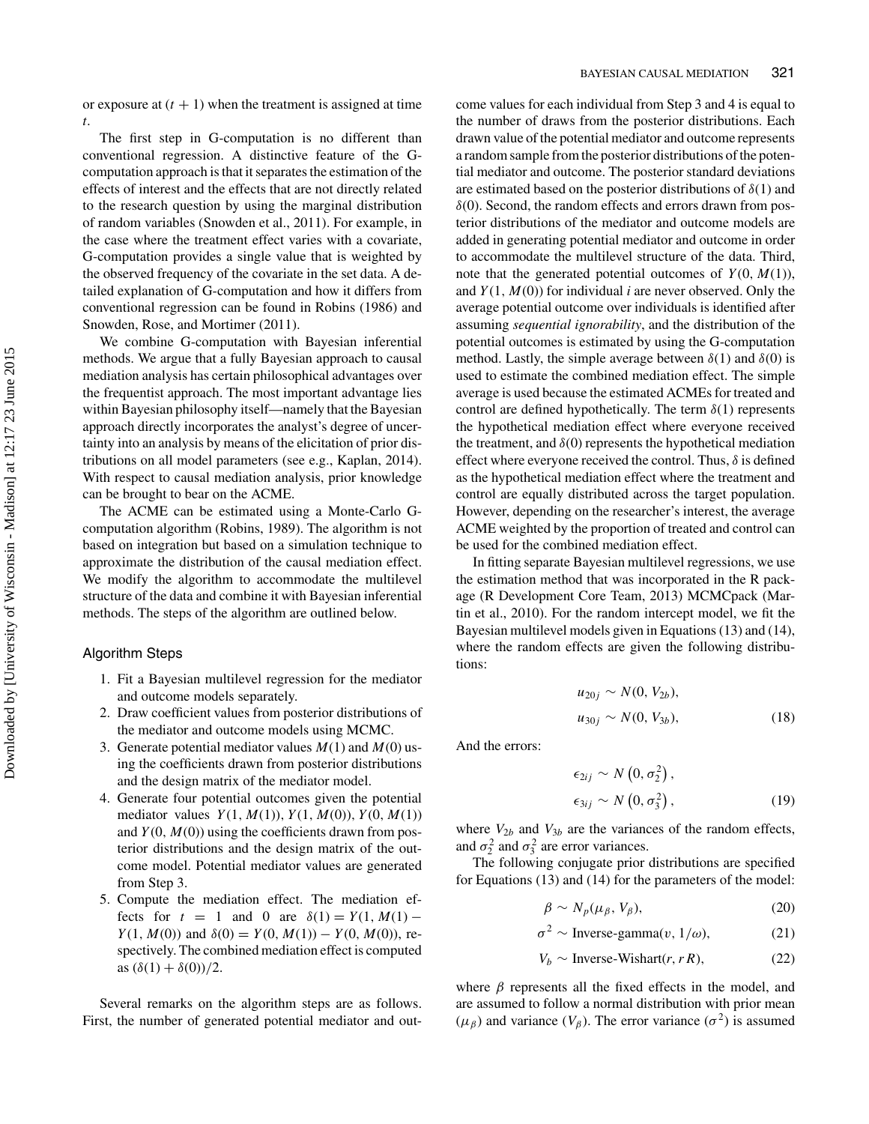or exposure at  $(t + 1)$  when the treatment is assigned at time *t*.

The first step in G-computation is no different than conventional regression. A distinctive feature of the Gcomputation approach is that it separates the estimation of the effects of interest and the effects that are not directly related to the research question by using the marginal distribution of random variables (Snowden et al., 2011). For example, in the case where the treatment effect varies with a covariate, G-computation provides a single value that is weighted by the observed frequency of the covariate in the set data. A detailed explanation of G-computation and how it differs from conventional regression can be found in Robins (1986) and Snowden, Rose, and Mortimer (2011).

We combine G-computation with Bayesian inferential methods. We argue that a fully Bayesian approach to causal mediation analysis has certain philosophical advantages over the frequentist approach. The most important advantage lies within Bayesian philosophy itself—namely that the Bayesian approach directly incorporates the analyst's degree of uncertainty into an analysis by means of the elicitation of prior distributions on all model parameters (see e.g., Kaplan, 2014). With respect to causal mediation analysis, prior knowledge can be brought to bear on the ACME.

The ACME can be estimated using a Monte-Carlo Gcomputation algorithm (Robins, 1989). The algorithm is not based on integration but based on a simulation technique to approximate the distribution of the causal mediation effect. We modify the algorithm to accommodate the multilevel structure of the data and combine it with Bayesian inferential methods. The steps of the algorithm are outlined below.

# Algorithm Steps

- 1. Fit a Bayesian multilevel regression for the mediator and outcome models separately.
- 2. Draw coefficient values from posterior distributions of the mediator and outcome models using MCMC.
- 3. Generate potential mediator values  $M(1)$  and  $M(0)$  using the coefficients drawn from posterior distributions and the design matrix of the mediator model.
- 4. Generate four potential outcomes given the potential mediator values *Y* (1*, M*(1))*, Y* (1*, M*(0))*, Y* (0*, M*(1)) and *Y* (0*, M*(0)) using the coefficients drawn from posterior distributions and the design matrix of the outcome model. Potential mediator values are generated from Step 3.
- 5. Compute the mediation effect. The mediation effects for  $t = 1$  and 0 are  $\delta(1) = Y(1, M(1) -$ *Y*(1*, M*(0)) and  $\delta$ (0) = *Y*(0*, M*(1)) – *Y*(0*, M*(0)), respectively. The combined mediation effect is computed as  $(\delta(1) + \delta(0))/2$ .

Several remarks on the algorithm steps are as follows. First, the number of generated potential mediator and out-

come values for each individual from Step 3 and 4 is equal to the number of draws from the posterior distributions. Each drawn value of the potential mediator and outcome represents a random sample from the posterior distributions of the potential mediator and outcome. The posterior standard deviations are estimated based on the posterior distributions of *δ*(1) and *δ*(0). Second, the random effects and errors drawn from posterior distributions of the mediator and outcome models are added in generating potential mediator and outcome in order to accommodate the multilevel structure of the data. Third, note that the generated potential outcomes of *Y* (0*, M*(1)), and  $Y(1, M(0))$  for individual *i* are never observed. Only the average potential outcome over individuals is identified after assuming *sequential ignorability*, and the distribution of the potential outcomes is estimated by using the G-computation method. Lastly, the simple average between  $\delta(1)$  and  $\delta(0)$  is used to estimate the combined mediation effect. The simple average is used because the estimated ACMEs for treated and control are defined hypothetically. The term *δ*(1) represents the hypothetical mediation effect where everyone received the treatment, and  $\delta(0)$  represents the hypothetical mediation effect where everyone received the control. Thus, *δ* is defined as the hypothetical mediation effect where the treatment and control are equally distributed across the target population. However, depending on the researcher's interest, the average ACME weighted by the proportion of treated and control can be used for the combined mediation effect.

In fitting separate Bayesian multilevel regressions, we use the estimation method that was incorporated in the R package (R Development Core Team, 2013) MCMCpack (Martin et al., 2010). For the random intercept model, we fit the Bayesian multilevel models given in Equations (13) and (14), where the random effects are given the following distributions:

$$
u_{20j} \sim N(0, V_{2b}),
$$
  
\n
$$
u_{30j} \sim N(0, V_{3b}),
$$
\n(18)

And the errors:

$$
\epsilon_{2ij} \sim N\left(0, \sigma_2^2\right),
$$
  
\n
$$
\epsilon_{3ij} \sim N\left(0, \sigma_3^2\right),
$$
 (19)

where  $V_{2b}$  and  $V_{3b}$  are the variances of the random effects, and  $\sigma_2^2$  and  $\sigma_3^2$  are error variances.

The following conjugate prior distributions are specified for Equations (13) and (14) for the parameters of the model:

$$
\beta \sim N_p(\mu_\beta, V_\beta),\tag{20}
$$

$$
\sigma^2 \sim \text{Inverse-gamma}(v, 1/\omega), \tag{21}
$$

$$
V_b \sim \text{Inverse-Wishart}(r, rR), \tag{22}
$$

where  $\beta$  represents all the fixed effects in the model, and are assumed to follow a normal distribution with prior mean ( $μ<sub>β</sub>$ ) and variance ( $V<sub>β</sub>$ ). The error variance ( $σ<sup>2</sup>$ ) is assumed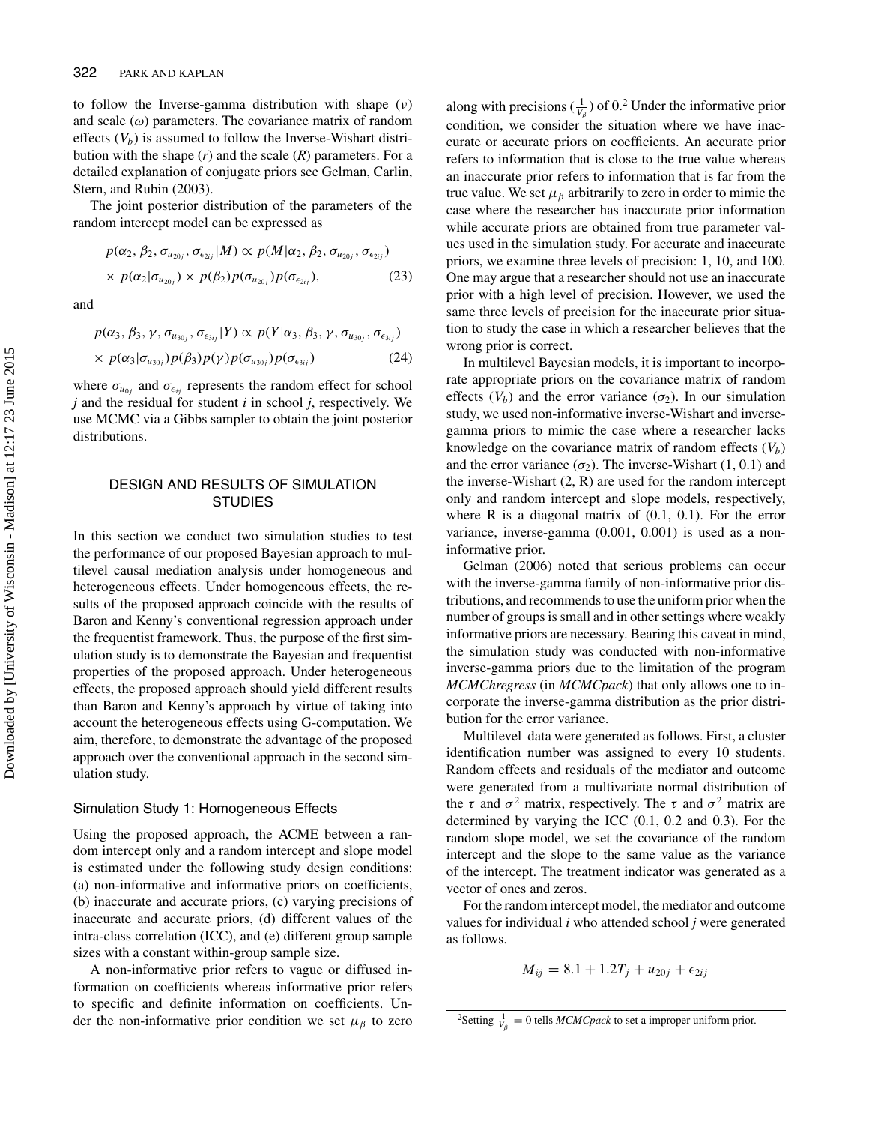to follow the Inverse-gamma distribution with shape (*ν*) and scale  $(\omega)$  parameters. The covariance matrix of random effects  $(V_b)$  is assumed to follow the Inverse-Wishart distribution with the shape (*r*) and the scale (*R*) parameters. For a detailed explanation of conjugate priors see Gelman, Carlin, Stern, and Rubin (2003).

The joint posterior distribution of the parameters of the random intercept model can be expressed as

$$
p(\alpha_2, \beta_2, \sigma_{u_{20j}}, \sigma_{\epsilon_{2ij}} | M) \propto p(M | \alpha_2, \beta_2, \sigma_{u_{20j}}, \sigma_{\epsilon_{2ij}})
$$
  
 
$$
\times p(\alpha_2 | \sigma_{u_{20j}}) \times p(\beta_2) p(\sigma_{u_{20j}}) p(\sigma_{\epsilon_{2ij}}),
$$
 (23)

and

$$
p(\alpha_3, \beta_3, \gamma, \sigma_{u_{30j}}, \sigma_{\epsilon_{3ij}} | Y) \propto p(Y | \alpha_3, \beta_3, \gamma, \sigma_{u_{30j}}, \sigma_{\epsilon_{3ij}})
$$
  
 
$$
\times p(\alpha_3 | \sigma_{u_{30j}}) p(\beta_3) p(\gamma) p(\sigma_{u_{30j}}) p(\sigma_{\epsilon_{3ij}})
$$
 (24)

where  $\sigma_{u_{0j}}$  and  $\sigma_{\epsilon_{ij}}$  represents the random effect for school *j* and the residual for student *i* in school *j*, respectively. We use MCMC via a Gibbs sampler to obtain the joint posterior distributions.

# DESIGN AND RESULTS OF SIMULATION **STUDIES**

In this section we conduct two simulation studies to test the performance of our proposed Bayesian approach to multilevel causal mediation analysis under homogeneous and heterogeneous effects. Under homogeneous effects, the results of the proposed approach coincide with the results of Baron and Kenny's conventional regression approach under the frequentist framework. Thus, the purpose of the first simulation study is to demonstrate the Bayesian and frequentist properties of the proposed approach. Under heterogeneous effects, the proposed approach should yield different results than Baron and Kenny's approach by virtue of taking into account the heterogeneous effects using G-computation. We aim, therefore, to demonstrate the advantage of the proposed approach over the conventional approach in the second simulation study.

#### Simulation Study 1: Homogeneous Effects

Using the proposed approach, the ACME between a random intercept only and a random intercept and slope model is estimated under the following study design conditions: (a) non-informative and informative priors on coefficients, (b) inaccurate and accurate priors, (c) varying precisions of inaccurate and accurate priors, (d) different values of the intra-class correlation (ICC), and (e) different group sample sizes with a constant within-group sample size.

A non-informative prior refers to vague or diffused information on coefficients whereas informative prior refers to specific and definite information on coefficients. Under the non-informative prior condition we set  $\mu_{\beta}$  to zero

along with precisions ( $\frac{1}{V_\beta}$ ) of 0.<sup>2</sup> Under the informative prior condition, we consider the situation where we have inaccurate or accurate priors on coefficients. An accurate prior refers to information that is close to the true value whereas an inaccurate prior refers to information that is far from the true value. We set  $\mu_{\beta}$  arbitrarily to zero in order to mimic the case where the researcher has inaccurate prior information while accurate priors are obtained from true parameter values used in the simulation study. For accurate and inaccurate priors, we examine three levels of precision: 1, 10, and 100. One may argue that a researcher should not use an inaccurate prior with a high level of precision. However, we used the same three levels of precision for the inaccurate prior situation to study the case in which a researcher believes that the wrong prior is correct.

In multilevel Bayesian models, it is important to incorporate appropriate priors on the covariance matrix of random effects  $(V_b)$  and the error variance  $(\sigma_2)$ . In our simulation study, we used non-informative inverse-Wishart and inversegamma priors to mimic the case where a researcher lacks knowledge on the covariance matrix of random effects  $(V_b)$ and the error variance  $(\sigma_2)$ . The inverse-Wishart  $(1, 0.1)$  and the inverse-Wishart (2, R) are used for the random intercept only and random intercept and slope models, respectively, where  $R$  is a diagonal matrix of  $(0.1, 0.1)$ . For the error variance, inverse-gamma (0.001, 0.001) is used as a noninformative prior.

Gelman (2006) noted that serious problems can occur with the inverse-gamma family of non-informative prior distributions, and recommends to use the uniform prior when the number of groups is small and in other settings where weakly informative priors are necessary. Bearing this caveat in mind, the simulation study was conducted with non-informative inverse-gamma priors due to the limitation of the program *MCMChregress* (in *MCMCpack*) that only allows one to incorporate the inverse-gamma distribution as the prior distribution for the error variance.

Multilevel data were generated as follows. First, a cluster identification number was assigned to every 10 students. Random effects and residuals of the mediator and outcome were generated from a multivariate normal distribution of the *τ* and  $σ<sup>2</sup>$  matrix, respectively. The *τ* and  $σ<sup>2</sup>$  matrix are determined by varying the ICC (0.1, 0.2 and 0.3). For the random slope model, we set the covariance of the random intercept and the slope to the same value as the variance of the intercept. The treatment indicator was generated as a vector of ones and zeros.

For the random intercept model, the mediator and outcome values for individual *i* who attended school *j* were generated as follows.

$$
M_{ij} = 8.1 + 1.2T_j + u_{20j} + \epsilon_{2ij}
$$

<sup>&</sup>lt;sup>2</sup>Setting  $\frac{1}{V_\beta} = 0$  tells *MCMCpack* to set a improper uniform prior.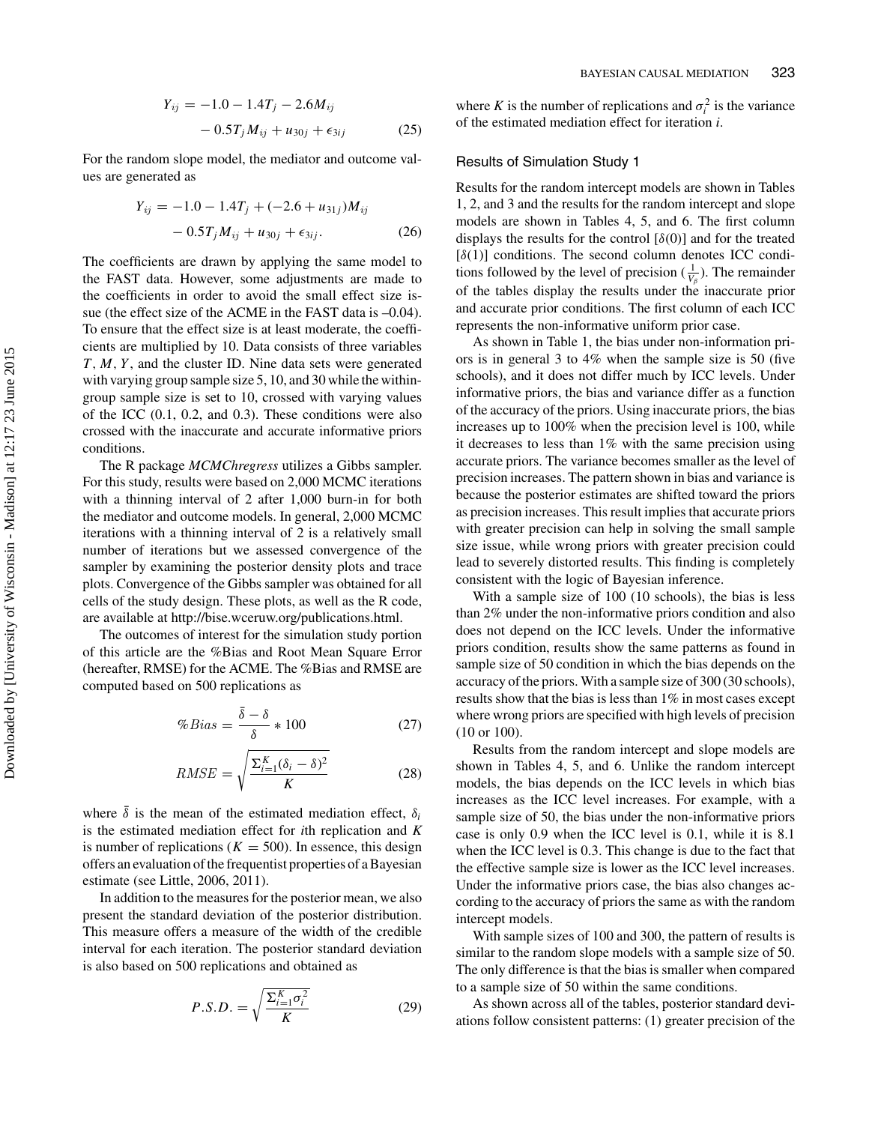$$
Y_{ij} = -1.0 - 1.4T_j - 2.6M_{ij}
$$
  
- 0.5T<sub>j</sub>M<sub>ij</sub> + u<sub>30j</sub> +  $\epsilon_{3ij}$  (25)

For the random slope model, the mediator and outcome values are generated as

$$
Y_{ij} = -1.0 - 1.4T_j + (-2.6 + u_{31j})M_{ij}
$$

$$
- 0.5T_j M_{ij} + u_{30j} + \epsilon_{3ij}.
$$
 (26)

The coefficients are drawn by applying the same model to the FAST data. However, some adjustments are made to the coefficients in order to avoid the small effect size issue (the effect size of the ACME in the FAST data is –0.04). To ensure that the effect size is at least moderate, the coefficients are multiplied by 10. Data consists of three variables *T,M,Y* , and the cluster ID. Nine data sets were generated with varying group sample size 5, 10, and 30 while the withingroup sample size is set to 10, crossed with varying values of the ICC (0.1, 0.2, and 0.3). These conditions were also crossed with the inaccurate and accurate informative priors conditions.

The R package *MCMChregress* utilizes a Gibbs sampler. For this study, results were based on 2,000 MCMC iterations with a thinning interval of 2 after 1,000 burn-in for both the mediator and outcome models. In general, 2,000 MCMC iterations with a thinning interval of 2 is a relatively small number of iterations but we assessed convergence of the sampler by examining the posterior density plots and trace plots. Convergence of the Gibbs sampler was obtained for all cells of the study design. These plots, as well as the R code, are available at http://bise.wceruw.org/publications.html.

The outcomes of interest for the simulation study portion of this article are the %Bias and Root Mean Square Error (hereafter, RMSE) for the ACME. The %Bias and RMSE are computed based on 500 replications as

$$
\% Bias = \frac{\bar{\delta} - \delta}{\delta} * 100\tag{27}
$$

$$
RMSE = \sqrt{\frac{\Sigma_{i=1}^{K}(\delta_i - \delta)^2}{K}}
$$
 (28)

where  $\bar{\delta}$  is the mean of the estimated mediation effect,  $\delta_i$ is the estimated mediation effect for *i*th replication and *K* is number of replications  $(K = 500)$ . In essence, this design offers an evaluation of the frequentist properties of a Bayesian estimate (see Little, 2006, 2011).

In addition to the measures for the posterior mean, we also present the standard deviation of the posterior distribution. This measure offers a measure of the width of the credible interval for each iteration. The posterior standard deviation is also based on 500 replications and obtained as

$$
P.S.D. = \sqrt{\frac{\Sigma_{i=1}^K \sigma_i^2}{K}} \tag{29}
$$

where *K* is the number of replications and  $\sigma_i^2$  is the variance of the estimated mediation effect for iteration *i*.

## Results of Simulation Study 1

Results for the random intercept models are shown in Tables 1, 2, and 3 and the results for the random intercept and slope models are shown in Tables 4, 5, and 6. The first column displays the results for the control  $\lceil \delta(0) \rceil$  and for the treated [*δ*(1)] conditions. The second column denotes ICC conditions followed by the level of precision  $(\frac{1}{V_\beta})$ . The remainder of the tables display the results under the inaccurate prior and accurate prior conditions. The first column of each ICC represents the non-informative uniform prior case.

As shown in Table 1, the bias under non-information priors is in general 3 to 4% when the sample size is 50 (five schools), and it does not differ much by ICC levels. Under informative priors, the bias and variance differ as a function of the accuracy of the priors. Using inaccurate priors, the bias increases up to 100% when the precision level is 100, while it decreases to less than 1% with the same precision using accurate priors. The variance becomes smaller as the level of precision increases. The pattern shown in bias and variance is because the posterior estimates are shifted toward the priors as precision increases. This result implies that accurate priors with greater precision can help in solving the small sample size issue, while wrong priors with greater precision could lead to severely distorted results. This finding is completely consistent with the logic of Bayesian inference.

With a sample size of 100 (10 schools), the bias is less than 2% under the non-informative priors condition and also does not depend on the ICC levels. Under the informative priors condition, results show the same patterns as found in sample size of 50 condition in which the bias depends on the accuracy of the priors. With a sample size of 300 (30 schools), results show that the bias is less than 1% in most cases except where wrong priors are specified with high levels of precision (10 or 100).

Results from the random intercept and slope models are shown in Tables 4, 5, and 6. Unlike the random intercept models, the bias depends on the ICC levels in which bias increases as the ICC level increases. For example, with a sample size of 50, the bias under the non-informative priors case is only 0.9 when the ICC level is 0.1, while it is 8.1 when the ICC level is 0.3. This change is due to the fact that the effective sample size is lower as the ICC level increases. Under the informative priors case, the bias also changes according to the accuracy of priors the same as with the random intercept models.

With sample sizes of 100 and 300, the pattern of results is similar to the random slope models with a sample size of 50. The only difference is that the bias is smaller when compared to a sample size of 50 within the same conditions.

As shown across all of the tables, posterior standard deviations follow consistent patterns: (1) greater precision of the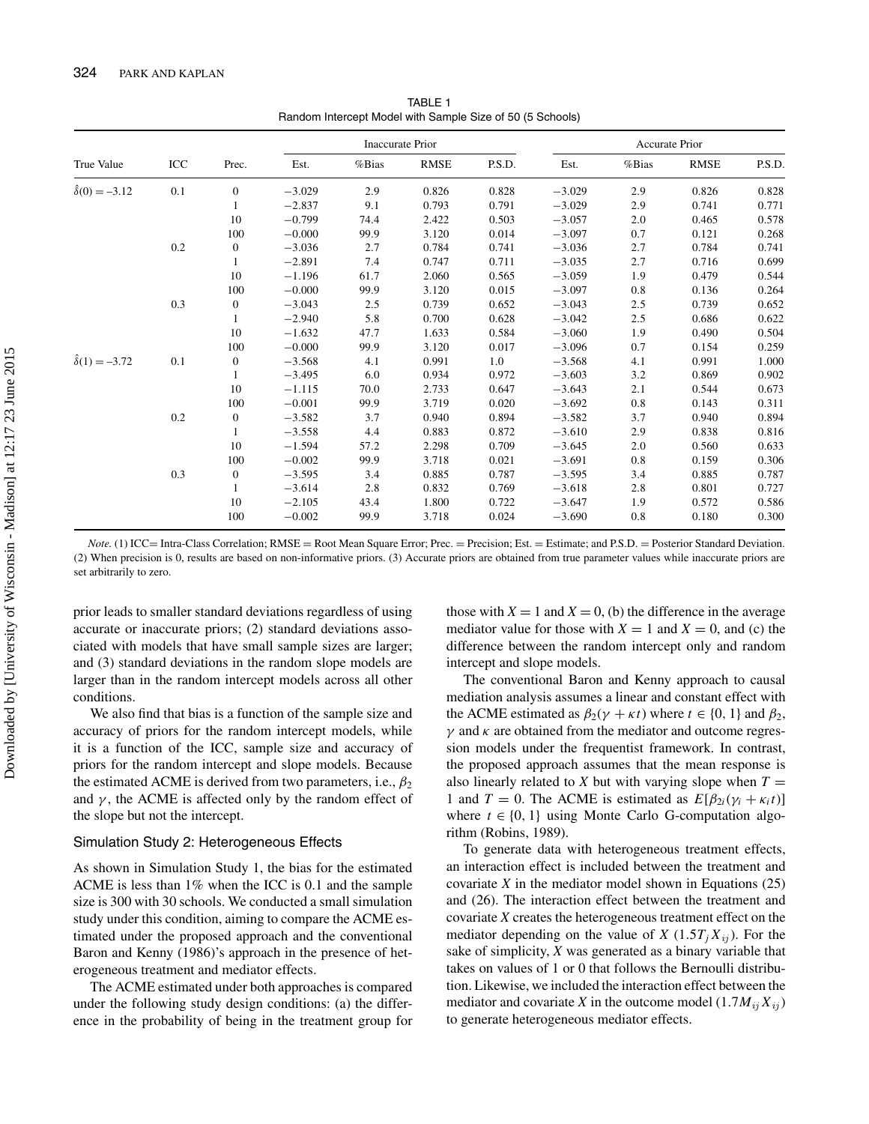TABLE 1 Random Intercept Model with Sample Size of 50 (5 Schools)

|                           |         |                  |          | <b>Inaccurate Prior</b> |             |        |          | Accurate Prior |             |        |
|---------------------------|---------|------------------|----------|-------------------------|-------------|--------|----------|----------------|-------------|--------|
| True Value                | ICC     | Prec.            | Est.     | %Bias                   | <b>RMSE</b> | P.S.D. | Est.     | %Bias          | <b>RMSE</b> | P.S.D. |
| $\hat{\delta}(0) = -3.12$ | $0.1\,$ | $\mathbf{0}$     | $-3.029$ | 2.9                     | 0.826       | 0.828  | $-3.029$ | 2.9            | 0.826       | 0.828  |
|                           |         |                  | $-2.837$ | 9.1                     | 0.793       | 0.791  | $-3.029$ | 2.9            | 0.741       | 0.771  |
|                           |         | 10               | $-0.799$ | 74.4                    | 2.422       | 0.503  | $-3.057$ | 2.0            | 0.465       | 0.578  |
|                           |         | 100              | $-0.000$ | 99.9                    | 3.120       | 0.014  | $-3.097$ | 0.7            | 0.121       | 0.268  |
|                           | 0.2     | $\boldsymbol{0}$ | $-3.036$ | 2.7                     | 0.784       | 0.741  | $-3.036$ | 2.7            | 0.784       | 0.741  |
|                           |         |                  | $-2.891$ | 7.4                     | 0.747       | 0.711  | $-3.035$ | 2.7            | 0.716       | 0.699  |
|                           |         | 10               | $-1.196$ | 61.7                    | 2.060       | 0.565  | $-3.059$ | 1.9            | 0.479       | 0.544  |
|                           |         | 100              | $-0.000$ | 99.9                    | 3.120       | 0.015  | $-3.097$ | 0.8            | 0.136       | 0.264  |
|                           | 0.3     | $\mathbf{0}$     | $-3.043$ | 2.5                     | 0.739       | 0.652  | $-3.043$ | $2.5\,$        | 0.739       | 0.652  |
|                           |         |                  | $-2.940$ | 5.8                     | 0.700       | 0.628  | $-3.042$ | 2.5            | 0.686       | 0.622  |
|                           |         | 10               | $-1.632$ | 47.7                    | 1.633       | 0.584  | $-3.060$ | 1.9            | 0.490       | 0.504  |
|                           |         | 100              | $-0.000$ | 99.9                    | 3.120       | 0.017  | $-3.096$ | 0.7            | 0.154       | 0.259  |
| $\hat{\delta}(1) = -3.72$ | 0.1     | $\boldsymbol{0}$ | $-3.568$ | 4.1                     | 0.991       | 1.0    | $-3.568$ | 4.1            | 0.991       | 1.000  |
|                           |         | 1                | $-3.495$ | 6.0                     | 0.934       | 0.972  | $-3.603$ | 3.2            | 0.869       | 0.902  |
|                           |         | 10               | $-1.115$ | 70.0                    | 2.733       | 0.647  | $-3.643$ | 2.1            | 0.544       | 0.673  |
|                           |         | 100              | $-0.001$ | 99.9                    | 3.719       | 0.020  | $-3.692$ | 0.8            | 0.143       | 0.311  |
|                           | $0.2\,$ | $\mathbf{0}$     | $-3.582$ | 3.7                     | 0.940       | 0.894  | $-3.582$ | 3.7            | 0.940       | 0.894  |
|                           |         |                  | $-3.558$ | 4.4                     | 0.883       | 0.872  | $-3.610$ | 2.9            | 0.838       | 0.816  |
|                           |         | 10               | $-1.594$ | 57.2                    | 2.298       | 0.709  | $-3.645$ | 2.0            | 0.560       | 0.633  |
|                           |         | 100              | $-0.002$ | 99.9                    | 3.718       | 0.021  | $-3.691$ | 0.8            | 0.159       | 0.306  |
|                           | 0.3     | $\boldsymbol{0}$ | $-3.595$ | 3.4                     | 0.885       | 0.787  | $-3.595$ | 3.4            | 0.885       | 0.787  |
|                           |         |                  | $-3.614$ | 2.8                     | 0.832       | 0.769  | $-3.618$ | 2.8            | 0.801       | 0.727  |
|                           |         | 10               | $-2.105$ | 43.4                    | 1.800       | 0.722  | $-3.647$ | 1.9            | 0.572       | 0.586  |
|                           |         | 100              | $-0.002$ | 99.9                    | 3.718       | 0.024  | $-3.690$ | 0.8            | 0.180       | 0.300  |

prior leads to smaller standard deviations regardless of using accurate or inaccurate priors; (2) standard deviations associated with models that have small sample sizes are larger; and (3) standard deviations in the random slope models are larger than in the random intercept models across all other conditions.

We also find that bias is a function of the sample size and accuracy of priors for the random intercept models, while it is a function of the ICC, sample size and accuracy of priors for the random intercept and slope models. Because the estimated ACME is derived from two parameters, i.e.,  $\beta_2$ and  $\gamma$ , the ACME is affected only by the random effect of the slope but not the intercept.

## Simulation Study 2: Heterogeneous Effects

As shown in Simulation Study 1, the bias for the estimated ACME is less than 1% when the ICC is 0.1 and the sample size is 300 with 30 schools. We conducted a small simulation study under this condition, aiming to compare the ACME estimated under the proposed approach and the conventional Baron and Kenny (1986)'s approach in the presence of heterogeneous treatment and mediator effects.

The ACME estimated under both approaches is compared under the following study design conditions: (a) the difference in the probability of being in the treatment group for those with  $X = 1$  and  $X = 0$ , (b) the difference in the average mediator value for those with  $X = 1$  and  $X = 0$ , and (c) the difference between the random intercept only and random intercept and slope models.

The conventional Baron and Kenny approach to causal mediation analysis assumes a linear and constant effect with the ACME estimated as  $\beta_2(\gamma + \kappa t)$  where  $t \in \{0, 1\}$  and  $\beta_2$ , *γ* and *κ* are obtained from the mediator and outcome regression models under the frequentist framework. In contrast, the proposed approach assumes that the mean response is also linearly related to *X* but with varying slope when  $T =$ 1 and  $T = 0$ . The ACME is estimated as  $E[\beta_{2i}(\gamma_i + \kappa_i t)]$ where  $t \in \{0, 1\}$  using Monte Carlo G-computation algorithm (Robins, 1989).

To generate data with heterogeneous treatment effects, an interaction effect is included between the treatment and covariate  $X$  in the mediator model shown in Equations  $(25)$ and (26). The interaction effect between the treatment and covariate *X* creates the heterogeneous treatment effect on the mediator depending on the value of *X* (1.5 $T_iX_{ij}$ ). For the sake of simplicity, *X* was generated as a binary variable that takes on values of 1 or 0 that follows the Bernoulli distribution. Likewise, we included the interaction effect between the mediator and covariate *X* in the outcome model  $(1.7M_{ii}X_{ii})$ to generate heterogeneous mediator effects.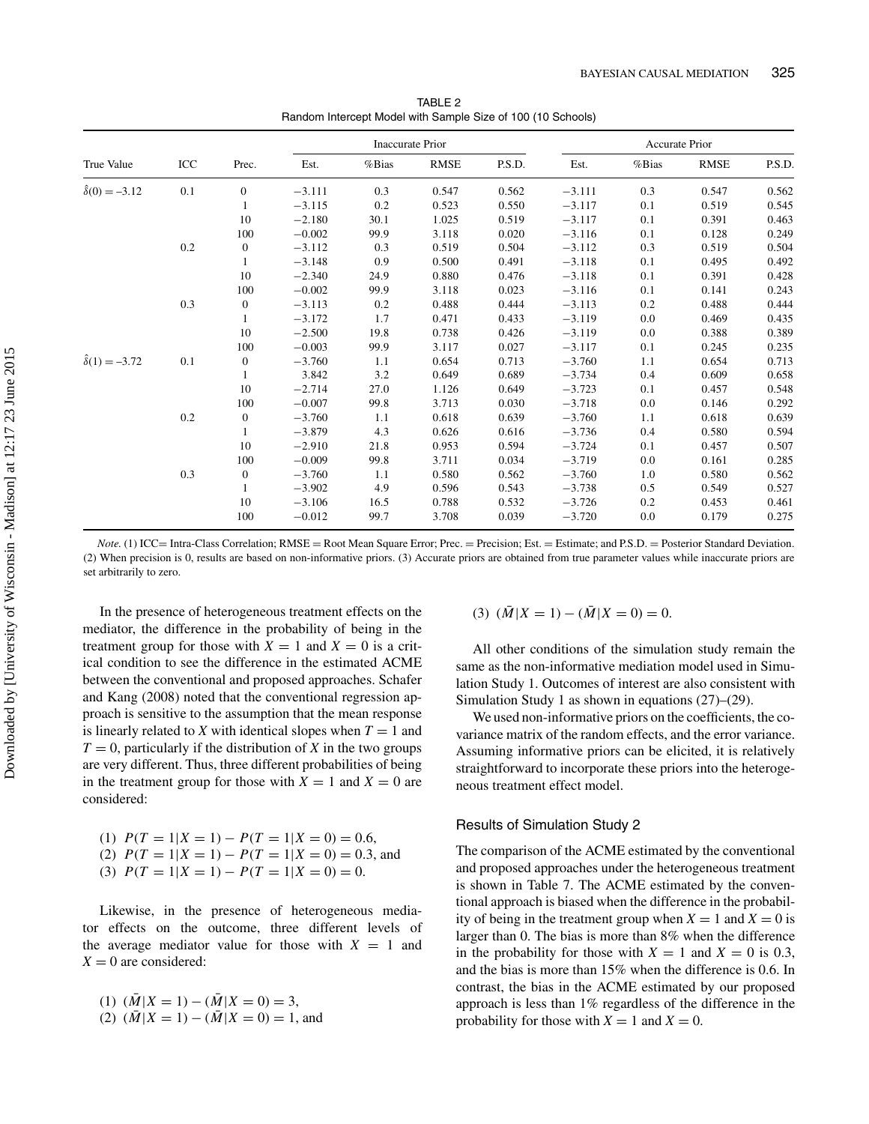TABLE 2 Random Intercept Model with Sample Size of 100 (10 Schools)

|                           |     |                |          | <b>Inaccurate Prior</b> |             |        |          | <b>Accurate Prior</b> |             |        |
|---------------------------|-----|----------------|----------|-------------------------|-------------|--------|----------|-----------------------|-------------|--------|
| True Value                | ICC | Prec.          | Est.     | %Bias                   | <b>RMSE</b> | P.S.D. | Est.     | %Bias                 | <b>RMSE</b> | P.S.D. |
| $\hat{\delta}(0) = -3.12$ | 0.1 | $\mathbf{0}$   | $-3.111$ | 0.3                     | 0.547       | 0.562  | $-3.111$ | 0.3                   | 0.547       | 0.562  |
|                           |     | 1              | $-3.115$ | 0.2                     | 0.523       | 0.550  | $-3.117$ | 0.1                   | 0.519       | 0.545  |
|                           |     | 10             | $-2.180$ | 30.1                    | 1.025       | 0.519  | $-3.117$ | 0.1                   | 0.391       | 0.463  |
|                           |     | 100            | $-0.002$ | 99.9                    | 3.118       | 0.020  | $-3.116$ | 0.1                   | 0.128       | 0.249  |
|                           | 0.2 | $\overline{0}$ | $-3.112$ | 0.3                     | 0.519       | 0.504  | $-3.112$ | 0.3                   | 0.519       | 0.504  |
|                           |     |                | $-3.148$ | 0.9                     | 0.500       | 0.491  | $-3.118$ | 0.1                   | 0.495       | 0.492  |
|                           |     | 10             | $-2.340$ | 24.9                    | 0.880       | 0.476  | $-3.118$ | 0.1                   | 0.391       | 0.428  |
|                           |     | 100            | $-0.002$ | 99.9                    | 3.118       | 0.023  | $-3.116$ | 0.1                   | 0.141       | 0.243  |
|                           | 0.3 | $\overline{0}$ | $-3.113$ | 0.2                     | 0.488       | 0.444  | $-3.113$ | 0.2                   | 0.488       | 0.444  |
|                           |     |                | $-3.172$ | 1.7                     | 0.471       | 0.433  | $-3.119$ | 0.0                   | 0.469       | 0.435  |
|                           |     | 10             | $-2.500$ | 19.8                    | 0.738       | 0.426  | $-3.119$ | 0.0                   | 0.388       | 0.389  |
|                           |     | 100            | $-0.003$ | 99.9                    | 3.117       | 0.027  | $-3.117$ | 0.1                   | 0.245       | 0.235  |
| $\hat{\delta}(1) = -3.72$ | 0.1 | $\mathbf{0}$   | $-3.760$ | 1.1                     | 0.654       | 0.713  | $-3.760$ | 1.1                   | 0.654       | 0.713  |
|                           |     | 1              | 3.842    | 3.2                     | 0.649       | 0.689  | $-3.734$ | 0.4                   | 0.609       | 0.658  |
|                           |     | 10             | $-2.714$ | 27.0                    | 1.126       | 0.649  | $-3.723$ | 0.1                   | 0.457       | 0.548  |
|                           |     | 100            | $-0.007$ | 99.8                    | 3.713       | 0.030  | $-3.718$ | 0.0                   | 0.146       | 0.292  |
|                           | 0.2 | $\mathbf{0}$   | $-3.760$ | 1.1                     | 0.618       | 0.639  | $-3.760$ | 1.1                   | 0.618       | 0.639  |
|                           |     |                | $-3.879$ | 4.3                     | 0.626       | 0.616  | $-3.736$ | 0.4                   | 0.580       | 0.594  |
|                           |     | 10             | $-2.910$ | 21.8                    | 0.953       | 0.594  | $-3.724$ | 0.1                   | 0.457       | 0.507  |
|                           |     | 100            | $-0.009$ | 99.8                    | 3.711       | 0.034  | $-3.719$ | 0.0                   | 0.161       | 0.285  |
|                           | 0.3 | $\overline{0}$ | $-3.760$ | 1.1                     | 0.580       | 0.562  | $-3.760$ | 1.0                   | 0.580       | 0.562  |
|                           |     |                | $-3.902$ | 4.9                     | 0.596       | 0.543  | $-3.738$ | 0.5                   | 0.549       | 0.527  |
|                           |     | 10             | $-3.106$ | 16.5                    | 0.788       | 0.532  | $-3.726$ | 0.2                   | 0.453       | 0.461  |
|                           |     | 100            | $-0.012$ | 99.7                    | 3.708       | 0.039  | $-3.720$ | 0.0                   | 0.179       | 0.275  |

In the presence of heterogeneous treatment effects on the mediator, the difference in the probability of being in the treatment group for those with  $X = 1$  and  $X = 0$  is a critical condition to see the difference in the estimated ACME between the conventional and proposed approaches. Schafer and Kang (2008) noted that the conventional regression approach is sensitive to the assumption that the mean response is linearly related to *X* with identical slopes when  $T = 1$  and  $T = 0$ , particularly if the distribution of *X* in the two groups are very different. Thus, three different probabilities of being in the treatment group for those with  $X = 1$  and  $X = 0$  are considered:

(1) 
$$
P(T = 1|X = 1) - P(T = 1|X = 0) = 0.6
$$
,  
\n(2)  $P(T = 1|X = 1) - P(T = 1|X = 0) = 0.3$ , and  
\n(3)  $P(T = 1|X = 1) - P(T = 1|X = 0) = 0$ .

Likewise, in the presence of heterogeneous mediator effects on the outcome, three different levels of the average mediator value for those with  $X = 1$  and  $X = 0$  are considered:

(1) 
$$
(\bar{M}|X = 1) - (\bar{M}|X = 0) = 3
$$
,  
(2)  $(\bar{M}|X = 1) - (\bar{M}|X = 0) = 1$ , and

$$
(3) \ (\bar{M}|X=1) - (\bar{M}|X=0) = 0.
$$

All other conditions of the simulation study remain the same as the non-informative mediation model used in Simulation Study 1. Outcomes of interest are also consistent with Simulation Study 1 as shown in equations (27)–(29).

We used non-informative priors on the coefficients, the covariance matrix of the random effects, and the error variance. Assuming informative priors can be elicited, it is relatively straightforward to incorporate these priors into the heterogeneous treatment effect model.

## Results of Simulation Study 2

The comparison of the ACME estimated by the conventional and proposed approaches under the heterogeneous treatment is shown in Table 7. The ACME estimated by the conventional approach is biased when the difference in the probability of being in the treatment group when  $X = 1$  and  $X = 0$  is larger than 0. The bias is more than 8% when the difference in the probability for those with  $X = 1$  and  $X = 0$  is 0.3, and the bias is more than 15% when the difference is 0.6. In contrast, the bias in the ACME estimated by our proposed approach is less than 1% regardless of the difference in the probability for those with  $X = 1$  and  $X = 0$ .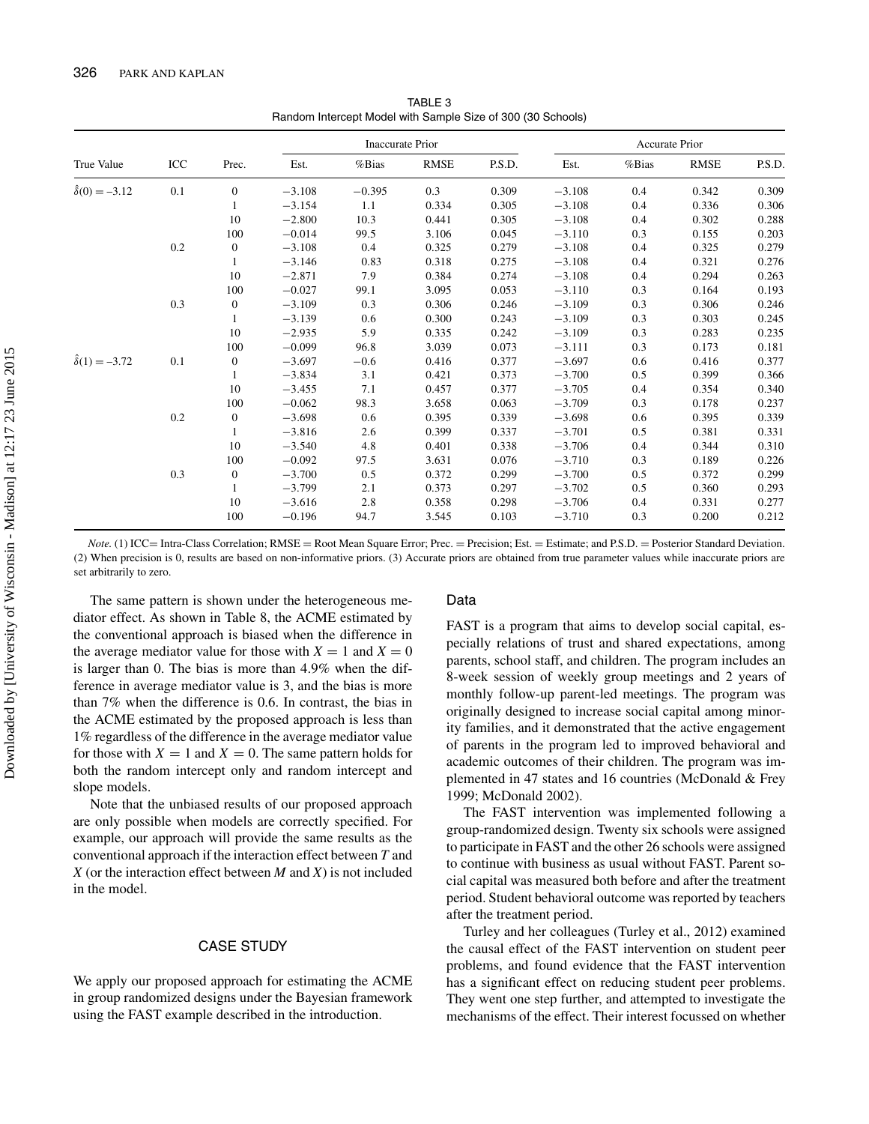TABLE 3 Random Intercept Model with Sample Size of 300 (30 Schools)

|                            |     |                  |          | <b>Inaccurate Prior</b> |             |        |          | <b>Accurate Prior</b> |             |        |
|----------------------------|-----|------------------|----------|-------------------------|-------------|--------|----------|-----------------------|-------------|--------|
| True Value                 | ICC | Prec.            | Est.     | %Bias                   | <b>RMSE</b> | P.S.D. | Est.     | % Bias                | <b>RMSE</b> | P.S.D. |
| $\ddot{\delta}(0) = -3.12$ | 0.1 | $\mathbf{0}$     | $-3.108$ | $-0.395$                | 0.3         | 0.309  | $-3.108$ | 0.4                   | 0.342       | 0.309  |
|                            |     |                  | $-3.154$ | 1.1                     | 0.334       | 0.305  | $-3.108$ | 0.4                   | 0.336       | 0.306  |
|                            |     | 10               | $-2.800$ | 10.3                    | 0.441       | 0.305  | $-3.108$ | 0.4                   | 0.302       | 0.288  |
|                            |     | 100              | $-0.014$ | 99.5                    | 3.106       | 0.045  | $-3.110$ | 0.3                   | 0.155       | 0.203  |
|                            | 0.2 | $\boldsymbol{0}$ | $-3.108$ | 0.4                     | 0.325       | 0.279  | $-3.108$ | 0.4                   | 0.325       | 0.279  |
|                            |     |                  | $-3.146$ | 0.83                    | 0.318       | 0.275  | $-3.108$ | 0.4                   | 0.321       | 0.276  |
|                            |     | 10               | $-2.871$ | 7.9                     | 0.384       | 0.274  | $-3.108$ | 0.4                   | 0.294       | 0.263  |
|                            |     | 100              | $-0.027$ | 99.1                    | 3.095       | 0.053  | $-3.110$ | 0.3                   | 0.164       | 0.193  |
|                            | 0.3 | $\overline{0}$   | $-3.109$ | 0.3                     | 0.306       | 0.246  | $-3.109$ | 0.3                   | 0.306       | 0.246  |
|                            |     |                  | $-3.139$ | 0.6                     | 0.300       | 0.243  | $-3.109$ | 0.3                   | 0.303       | 0.245  |
|                            |     | 10               | $-2.935$ | 5.9                     | 0.335       | 0.242  | $-3.109$ | 0.3                   | 0.283       | 0.235  |
|                            |     | 100              | $-0.099$ | 96.8                    | 3.039       | 0.073  | $-3.111$ | 0.3                   | 0.173       | 0.181  |
| $\hat{\delta}(1) = -3.72$  | 0.1 | $\boldsymbol{0}$ | $-3.697$ | $-0.6$                  | 0.416       | 0.377  | $-3.697$ | 0.6                   | 0.416       | 0.377  |
|                            |     | $\mathbf{1}$     | $-3.834$ | 3.1                     | 0.421       | 0.373  | $-3.700$ | 0.5                   | 0.399       | 0.366  |
|                            |     | 10               | $-3.455$ | 7.1                     | 0.457       | 0.377  | $-3.705$ | 0.4                   | 0.354       | 0.340  |
|                            |     | 100              | $-0.062$ | 98.3                    | 3.658       | 0.063  | $-3.709$ | 0.3                   | 0.178       | 0.237  |
|                            | 0.2 | $\mathbf{0}$     | $-3.698$ | 0.6                     | 0.395       | 0.339  | $-3.698$ | 0.6                   | 0.395       | 0.339  |
|                            |     |                  | $-3.816$ | 2.6                     | 0.399       | 0.337  | $-3.701$ | 0.5                   | 0.381       | 0.331  |
|                            |     | 10               | $-3.540$ | 4.8                     | 0.401       | 0.338  | $-3.706$ | 0.4                   | 0.344       | 0.310  |
|                            |     | 100              | $-0.092$ | 97.5                    | 3.631       | 0.076  | $-3.710$ | 0.3                   | 0.189       | 0.226  |
|                            | 0.3 | $\mathbf{0}$     | $-3.700$ | 0.5                     | 0.372       | 0.299  | $-3.700$ | 0.5                   | 0.372       | 0.299  |
|                            |     | $\mathbf{1}$     | $-3.799$ | 2.1                     | 0.373       | 0.297  | $-3.702$ | 0.5                   | 0.360       | 0.293  |
|                            |     | 10               | $-3.616$ | 2.8                     | 0.358       | 0.298  | $-3.706$ | 0.4                   | 0.331       | 0.277  |
|                            |     | 100              | $-0.196$ | 94.7                    | 3.545       | 0.103  | $-3.710$ | 0.3                   | 0.200       | 0.212  |

The same pattern is shown under the heterogeneous mediator effect. As shown in Table 8, the ACME estimated by the conventional approach is biased when the difference in the average mediator value for those with  $X = 1$  and  $X = 0$ is larger than 0. The bias is more than 4.9% when the difference in average mediator value is 3, and the bias is more than 7% when the difference is 0.6. In contrast, the bias in the ACME estimated by the proposed approach is less than 1% regardless of the difference in the average mediator value for those with  $X = 1$  and  $X = 0$ . The same pattern holds for both the random intercept only and random intercept and slope models.

Note that the unbiased results of our proposed approach are only possible when models are correctly specified. For example, our approach will provide the same results as the conventional approach if the interaction effect between *T* and *X* (or the interaction effect between *M* and *X*) is not included in the model.

# CASE STUDY

We apply our proposed approach for estimating the ACME in group randomized designs under the Bayesian framework using the FAST example described in the introduction.

## Data

FAST is a program that aims to develop social capital, especially relations of trust and shared expectations, among parents, school staff, and children. The program includes an 8-week session of weekly group meetings and 2 years of monthly follow-up parent-led meetings. The program was originally designed to increase social capital among minority families, and it demonstrated that the active engagement of parents in the program led to improved behavioral and academic outcomes of their children. The program was implemented in 47 states and 16 countries (McDonald & Frey 1999; McDonald 2002).

The FAST intervention was implemented following a group-randomized design. Twenty six schools were assigned to participate in FAST and the other 26 schools were assigned to continue with business as usual without FAST. Parent social capital was measured both before and after the treatment period. Student behavioral outcome was reported by teachers after the treatment period.

Turley and her colleagues (Turley et al., 2012) examined the causal effect of the FAST intervention on student peer problems, and found evidence that the FAST intervention has a significant effect on reducing student peer problems. They went one step further, and attempted to investigate the mechanisms of the effect. Their interest focussed on whether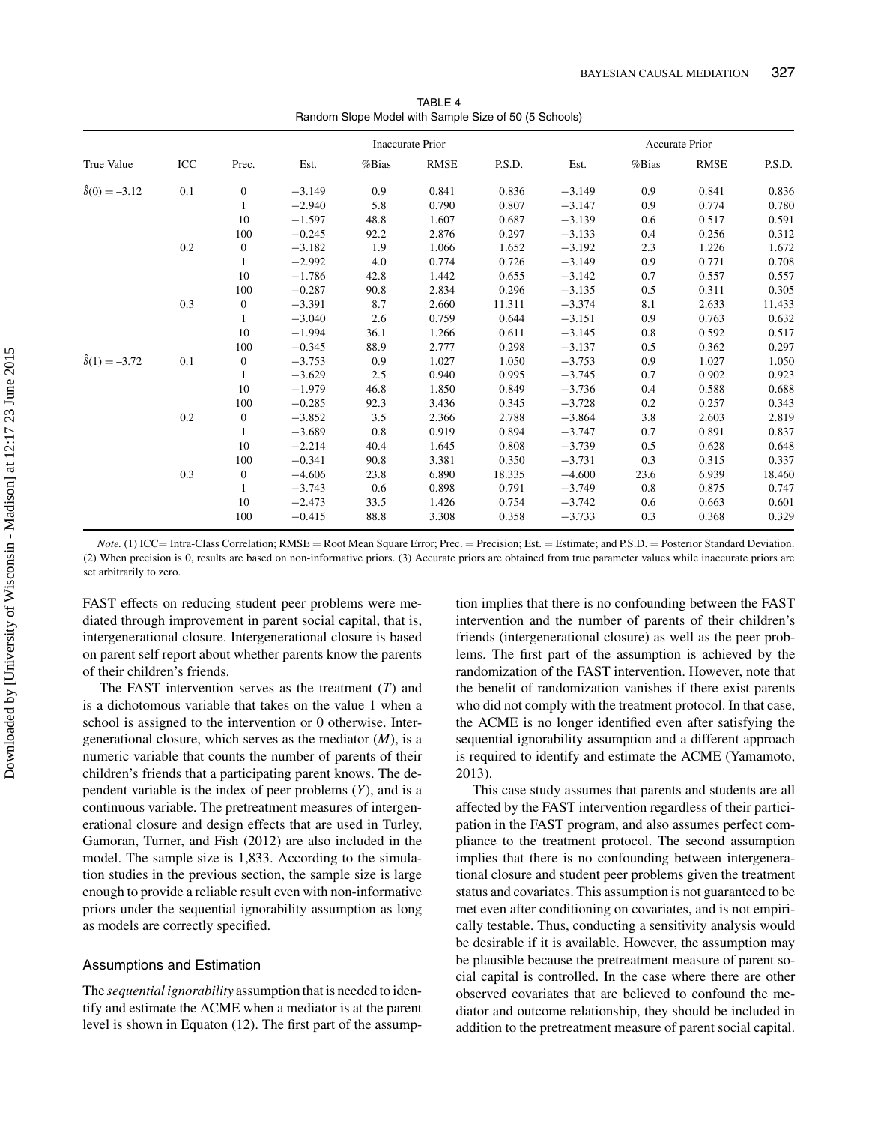TABLE 4 Random Slope Model with Sample Size of 50 (5 Schools)

|                           |         |                  |          |        | <b>Inaccurate Prior</b> |        |          |        | <b>Accurate Prior</b> |        |
|---------------------------|---------|------------------|----------|--------|-------------------------|--------|----------|--------|-----------------------|--------|
| True Value                | ICC     | Prec.            | Est.     | % Bias | <b>RMSE</b>             | P.S.D. | Est.     | % Bias | <b>RMSE</b>           | P.S.D. |
| $\hat{\delta}(0) = -3.12$ | 0.1     | $\mathbf{0}$     | $-3.149$ | 0.9    | 0.841                   | 0.836  | $-3.149$ | 0.9    | 0.841                 | 0.836  |
|                           |         | 1                | $-2.940$ | 5.8    | 0.790                   | 0.807  | $-3.147$ | 0.9    | 0.774                 | 0.780  |
|                           |         | 10               | $-1.597$ | 48.8   | 1.607                   | 0.687  | $-3.139$ | 0.6    | 0.517                 | 0.591  |
|                           |         | 100              | $-0.245$ | 92.2   | 2.876                   | 0.297  | $-3.133$ | 0.4    | 0.256                 | 0.312  |
|                           | 0.2     | $\mathbf{0}$     | $-3.182$ | 1.9    | 1.066                   | 1.652  | $-3.192$ | 2.3    | 1.226                 | 1.672  |
|                           |         | $\mathbf{1}$     | $-2.992$ | 4.0    | 0.774                   | 0.726  | $-3.149$ | 0.9    | 0.771                 | 0.708  |
|                           |         | 10               | $-1.786$ | 42.8   | 1.442                   | 0.655  | $-3.142$ | 0.7    | 0.557                 | 0.557  |
|                           |         | 100              | $-0.287$ | 90.8   | 2.834                   | 0.296  | $-3.135$ | 0.5    | 0.311                 | 0.305  |
|                           | 0.3     | $\mathbf{0}$     | $-3.391$ | 8.7    | 2.660                   | 11.311 | $-3.374$ | 8.1    | 2.633                 | 11.433 |
|                           |         |                  | $-3.040$ | 2.6    | 0.759                   | 0.644  | $-3.151$ | 0.9    | 0.763                 | 0.632  |
|                           |         | 10               | $-1.994$ | 36.1   | 1.266                   | 0.611  | $-3.145$ | 0.8    | 0.592                 | 0.517  |
|                           |         | 100              | $-0.345$ | 88.9   | 2.777                   | 0.298  | $-3.137$ | 0.5    | 0.362                 | 0.297  |
| $\hat{\delta}(1) = -3.72$ | 0.1     | $\boldsymbol{0}$ | $-3.753$ | 0.9    | 1.027                   | 1.050  | $-3.753$ | 0.9    | 1.027                 | 1.050  |
|                           |         | 1                | $-3.629$ | 2.5    | 0.940                   | 0.995  | $-3.745$ | 0.7    | 0.902                 | 0.923  |
|                           |         | 10               | $-1.979$ | 46.8   | 1.850                   | 0.849  | $-3.736$ | 0.4    | 0.588                 | 0.688  |
|                           |         | 100              | $-0.285$ | 92.3   | 3.436                   | 0.345  | $-3.728$ | 0.2    | 0.257                 | 0.343  |
|                           | $0.2\,$ | $\mathbf{0}$     | $-3.852$ | 3.5    | 2.366                   | 2.788  | $-3.864$ | 3.8    | 2.603                 | 2.819  |
|                           |         |                  | $-3.689$ | 0.8    | 0.919                   | 0.894  | $-3.747$ | 0.7    | 0.891                 | 0.837  |
|                           |         | 10               | $-2.214$ | 40.4   | 1.645                   | 0.808  | $-3.739$ | 0.5    | 0.628                 | 0.648  |
|                           |         | 100              | $-0.341$ | 90.8   | 3.381                   | 0.350  | $-3.731$ | 0.3    | 0.315                 | 0.337  |
|                           | 0.3     | $\boldsymbol{0}$ | $-4.606$ | 23.8   | 6.890                   | 18.335 | $-4.600$ | 23.6   | 6.939                 | 18.460 |
|                           |         | $\mathbf{1}$     | $-3.743$ | 0.6    | 0.898                   | 0.791  | $-3.749$ | 0.8    | 0.875                 | 0.747  |
|                           |         | 10               | $-2.473$ | 33.5   | 1.426                   | 0.754  | $-3.742$ | 0.6    | 0.663                 | 0.601  |
|                           |         | 100              | $-0.415$ | 88.8   | 3.308                   | 0.358  | $-3.733$ | 0.3    | 0.368                 | 0.329  |

FAST effects on reducing student peer problems were mediated through improvement in parent social capital, that is, intergenerational closure. Intergenerational closure is based on parent self report about whether parents know the parents of their children's friends.

The FAST intervention serves as the treatment (*T*) and is a dichotomous variable that takes on the value 1 when a school is assigned to the intervention or 0 otherwise. Intergenerational closure, which serves as the mediator (*M*), is a numeric variable that counts the number of parents of their children's friends that a participating parent knows. The dependent variable is the index of peer problems (*Y*), and is a continuous variable. The pretreatment measures of intergenerational closure and design effects that are used in Turley, Gamoran, Turner, and Fish (2012) are also included in the model. The sample size is 1,833. According to the simulation studies in the previous section, the sample size is large enough to provide a reliable result even with non-informative priors under the sequential ignorability assumption as long as models are correctly specified.

## Assumptions and Estimation

The *sequential ignorability* assumption that is needed to identify and estimate the ACME when a mediator is at the parent level is shown in Equaton (12). The first part of the assump-

tion implies that there is no confounding between the FAST intervention and the number of parents of their children's friends (intergenerational closure) as well as the peer problems. The first part of the assumption is achieved by the randomization of the FAST intervention. However, note that the benefit of randomization vanishes if there exist parents who did not comply with the treatment protocol. In that case, the ACME is no longer identified even after satisfying the sequential ignorability assumption and a different approach is required to identify and estimate the ACME (Yamamoto, 2013).

This case study assumes that parents and students are all affected by the FAST intervention regardless of their participation in the FAST program, and also assumes perfect compliance to the treatment protocol. The second assumption implies that there is no confounding between intergenerational closure and student peer problems given the treatment status and covariates. This assumption is not guaranteed to be met even after conditioning on covariates, and is not empirically testable. Thus, conducting a sensitivity analysis would be desirable if it is available. However, the assumption may be plausible because the pretreatment measure of parent social capital is controlled. In the case where there are other observed covariates that are believed to confound the mediator and outcome relationship, they should be included in addition to the pretreatment measure of parent social capital.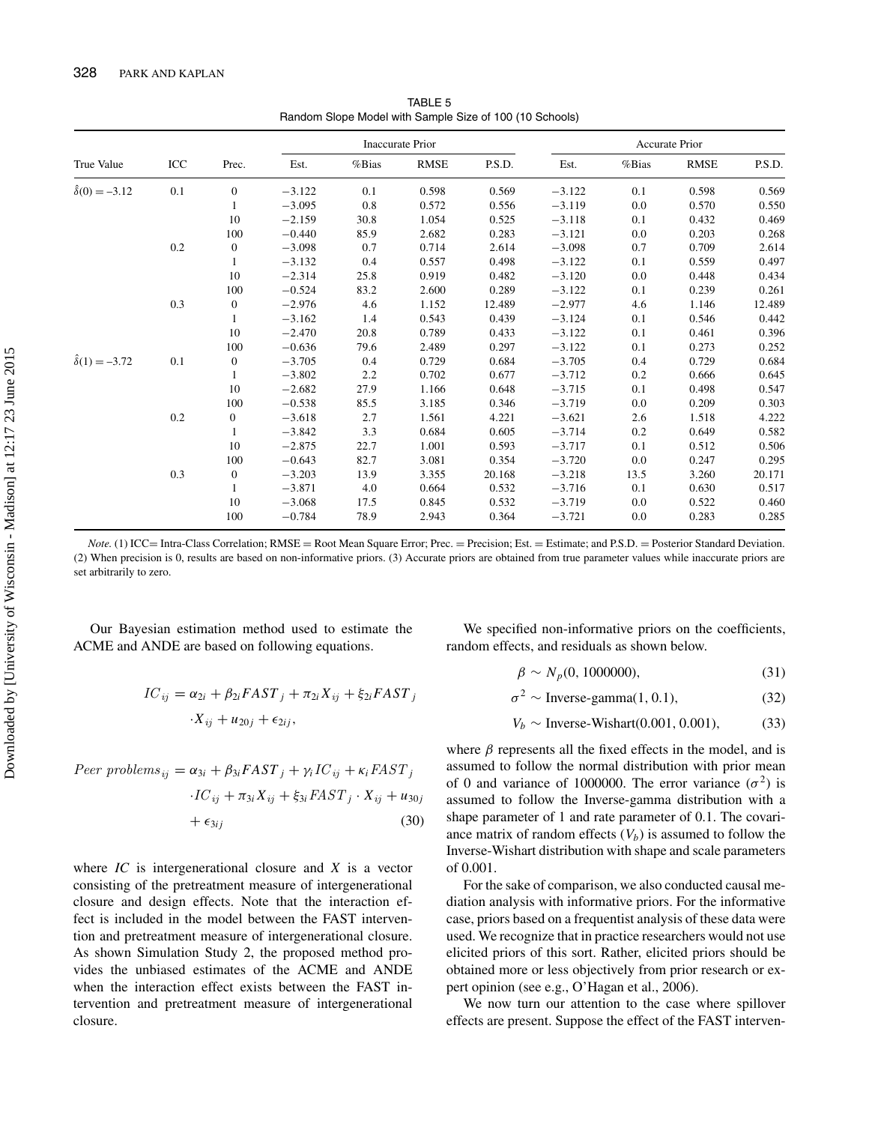| Random Slope Model with Sample Size of 100 (10 Schools) |     |              |                         |        |             |        |          |                       |             |        |  |
|---------------------------------------------------------|-----|--------------|-------------------------|--------|-------------|--------|----------|-----------------------|-------------|--------|--|
|                                                         |     |              | <b>Inaccurate Prior</b> |        |             |        |          | <b>Accurate Prior</b> |             |        |  |
| True Value                                              | ICC | Prec.        | Est.                    | % Bias | <b>RMSE</b> | P.S.D. | Est.     | % Bias                | <b>RMSE</b> | P.S.D. |  |
| $\hat{\delta}(0) = -3.12$                               | 0.1 | $\theta$     | $-3.122$                | 0.1    | 0.598       | 0.569  | $-3.122$ | 0.1                   | 0.598       | 0.569  |  |
|                                                         |     |              | $-3.095$                | 0.8    | 0.572       | 0.556  | $-3.119$ | 0.0                   | 0.570       | 0.550  |  |
|                                                         |     | 10           | $-2.159$                | 30.8   | 1.054       | 0.525  | $-3.118$ | 0.1                   | 0.432       | 0.469  |  |
|                                                         |     | 100          | $-0.440$                | 85.9   | 2.682       | 0.283  | $-3.121$ | 0.0                   | 0.203       | 0.268  |  |
|                                                         | 0.2 | $\mathbf{0}$ | $-3.098$                | 0.7    | 0.714       | 2.614  | $-3.098$ | 0.7                   | 0.709       | 2.614  |  |
|                                                         |     |              | $-3.132$                | 0.4    | 0.557       | 0.498  | $-3.122$ | 0.1                   | 0.559       | 0.497  |  |
|                                                         |     | 10           | $-2.314$                | 25.8   | 0.919       | 0.482  | $-3.120$ | 0.0                   | 0.448       | 0.434  |  |
|                                                         |     | 100          | $-0.524$                | 83.2   | 2.600       | 0.289  | $-3.122$ | 0.1                   | 0.239       | 0.261  |  |
|                                                         | 0.3 | $\theta$     | $-2.976$                | 4.6    | 1.152       | 12.489 | $-2.977$ | 4.6                   | 1.146       | 12.489 |  |

*δ*ˆ(1) = –3.72 0*.*1 0 −3*.*705 0*.*4 0*.*729 0*.*684 −3*.*705 0*.*4 0*.*729 0*.*684

1 −3*.*162 1*.*4 0*.*543 0*.*439 −3*.*124 0*.*1 0*.*546 0*.*442 10 −2*.*470 20*.*8 0*.*789 0*.*433 −3*.*122 0*.*1 0*.*461 0*.*396 100 −0*.*636 79*.*6 2*.*489 0*.*297 −3*.*122 0*.*1 0*.*273 0*.*252

1 −3*.*802 2*.*2 0*.*702 0*.*677 −3*.*712 0*.*2 0*.*666 0*.*645 10 −2*.*682 27*.*9 1*.*166 0*.*648 −3*.*715 0*.*1 0*.*498 0*.*547 100 −0*.*538 85*.*5 3*.*185 0*.*346 −3*.*719 0*.*0 0*.*209 0*.*303

1 −3*.*842 3*.*3 0*.*684 0*.*605 −3*.*714 0*.*2 0*.*649 0*.*582 10 −2*.*875 22*.*7 1*.*001 0*.*593 −3*.*717 0*.*1 0*.*512 0*.*506 100 −0*.*643 82*.*7 3*.*081 0*.*354 −3*.*720 0*.*0 0*.*247 0*.*295

1 −3*.*871 4*.*0 0*.*664 0*.*532 −3*.*716 0*.*1 0*.*630 0*.*517 10 −3*.*068 17*.*5 0*.*845 0*.*532 −3*.*719 0*.*0 0*.*522 0*.*460 100 −0*.*784 78*.*9 2*.*943 0*.*364 −3*.*721 0*.*0 0*.*283 0*.*285

0.2 0 −3*.*618 2*.*7 1*.*561 4*.*221 −3*.*621 2*.*6 1*.*518 4*.*222

0.3 0 −3*.*203 13*.*9 3*.*355 20*.*168 −3*.*218 13*.*5 3*.*260 20*.*171

TABLE 5

*Note.* (1) ICC= Intra-Class Correlation; RMSE = Root Mean Square Error; Prec. = Precision; Est. = Estimate; and P.S.D. = Posterior Standard Deviation. (2) When precision is 0, results are based on non-informative priors. (3) Accurate priors are obtained from true parameter values while inaccurate priors are set arbitrarily to zero.

Our Bayesian estimation method used to estimate the ACME and ANDE are based on following equations.

$$
IC_{ij} = \alpha_{2i} + \beta_{2i} FAST_j + \pi_{2i} X_{ij} + \xi_{2i} FAST_j
$$

$$
\cdot X_{ij} + u_{20j} + \epsilon_{2ij},
$$

Peer problems

\n
$$
i_{ij} = \alpha_{3i} + \beta_{3i} FAST_j + \gamma_i IC_{ij} + \kappa_i FAST_j
$$
\n
$$
\cdot IC_{ij} + \pi_{3i} X_{ij} + \xi_{3i} FAST_j \cdot X_{ij} + u_{30j}
$$
\n
$$
+ \epsilon_{3ij}
$$
\n(30)

where *IC* is intergenerational closure and *X* is a vector consisting of the pretreatment measure of intergenerational closure and design effects. Note that the interaction effect is included in the model between the FAST intervention and pretreatment measure of intergenerational closure. As shown Simulation Study 2, the proposed method provides the unbiased estimates of the ACME and ANDE when the interaction effect exists between the FAST intervention and pretreatment measure of intergenerational closure.

We specified non-informative priors on the coefficients, random effects, and residuals as shown below.

$$
\beta \sim N_p(0, 1000000),\tag{31}
$$

$$
\sigma^2 \sim \text{Inverse-gamma}(1, 0.1),\tag{32}
$$

$$
V_b \sim \text{Inverse-Wishart}(0.001, 0.001),
$$
 (33)

where  $\beta$  represents all the fixed effects in the model, and is assumed to follow the normal distribution with prior mean of 0 and variance of 1000000. The error variance  $(\sigma^2)$  is assumed to follow the Inverse-gamma distribution with a shape parameter of 1 and rate parameter of 0.1. The covariance matrix of random effects  $(V_b)$  is assumed to follow the Inverse-Wishart distribution with shape and scale parameters of 0.001.

For the sake of comparison, we also conducted causal mediation analysis with informative priors. For the informative case, priors based on a frequentist analysis of these data were used. We recognize that in practice researchers would not use elicited priors of this sort. Rather, elicited priors should be obtained more or less objectively from prior research or expert opinion (see e.g., O'Hagan et al., 2006).

We now turn our attention to the case where spillover effects are present. Suppose the effect of the FAST interven-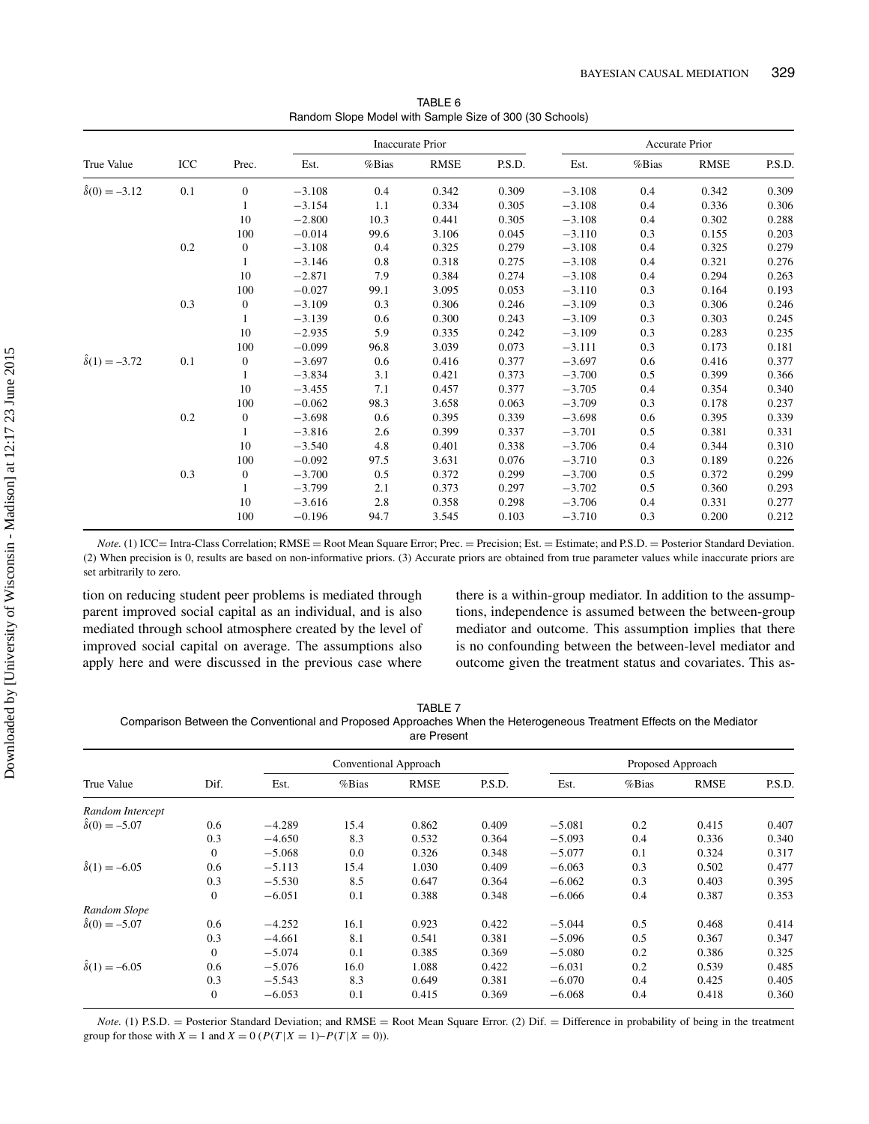TABLE 6 Random Slope Model with Sample Size of 300 (30 Schools)

|                           |         |                |          | <b>Inaccurate Prior</b> |             |        |          | <b>Accurate Prior</b> |             |        |
|---------------------------|---------|----------------|----------|-------------------------|-------------|--------|----------|-----------------------|-------------|--------|
| True Value                | ICC     | Prec.          | Est.     | %Bias                   | <b>RMSE</b> | P.S.D. | Est.     | %Bias                 | <b>RMSE</b> | P.S.D. |
| $\hat{\delta}(0) = -3.12$ | 0.1     | $\mathbf{0}$   | $-3.108$ | 0.4                     | 0.342       | 0.309  | $-3.108$ | 0.4                   | 0.342       | 0.309  |
|                           |         |                | $-3.154$ | 1.1                     | 0.334       | 0.305  | $-3.108$ | 0.4                   | 0.336       | 0.306  |
|                           |         | 10             | $-2.800$ | 10.3                    | 0.441       | 0.305  | $-3.108$ | 0.4                   | 0.302       | 0.288  |
|                           |         | 100            | $-0.014$ | 99.6                    | 3.106       | 0.045  | $-3.110$ | 0.3                   | 0.155       | 0.203  |
|                           | $0.2\,$ | $\mathbf{0}$   | $-3.108$ | 0.4                     | 0.325       | 0.279  | $-3.108$ | 0.4                   | 0.325       | 0.279  |
|                           |         |                | $-3.146$ | 0.8                     | 0.318       | 0.275  | $-3.108$ | 0.4                   | 0.321       | 0.276  |
|                           |         | 10             | $-2.871$ | 7.9                     | 0.384       | 0.274  | $-3.108$ | 0.4                   | 0.294       | 0.263  |
|                           |         | 100            | $-0.027$ | 99.1                    | 3.095       | 0.053  | $-3.110$ | 0.3                   | 0.164       | 0.193  |
|                           | 0.3     | $\overline{0}$ | $-3.109$ | 0.3                     | 0.306       | 0.246  | $-3.109$ | 0.3                   | 0.306       | 0.246  |
|                           |         |                | $-3.139$ | 0.6                     | 0.300       | 0.243  | $-3.109$ | 0.3                   | 0.303       | 0.245  |
|                           |         | 10             | $-2.935$ | 5.9                     | 0.335       | 0.242  | $-3.109$ | 0.3                   | 0.283       | 0.235  |
|                           |         | 100            | $-0.099$ | 96.8                    | 3.039       | 0.073  | $-3.111$ | 0.3                   | 0.173       | 0.181  |
| $\hat{\delta}(1) = -3.72$ | 0.1     | $\mathbf{0}$   | $-3.697$ | 0.6                     | 0.416       | 0.377  | $-3.697$ | 0.6                   | 0.416       | 0.377  |
|                           |         | 1              | $-3.834$ | 3.1                     | 0.421       | 0.373  | $-3.700$ | 0.5                   | 0.399       | 0.366  |
|                           |         | 10             | $-3.455$ | 7.1                     | 0.457       | 0.377  | $-3.705$ | 0.4                   | 0.354       | 0.340  |
|                           |         | 100            | $-0.062$ | 98.3                    | 3.658       | 0.063  | $-3.709$ | 0.3                   | 0.178       | 0.237  |
|                           | $0.2\,$ | $\mathbf{0}$   | $-3.698$ | 0.6                     | 0.395       | 0.339  | $-3.698$ | 0.6                   | 0.395       | 0.339  |
|                           |         |                | $-3.816$ | 2.6                     | 0.399       | 0.337  | $-3.701$ | 0.5                   | 0.381       | 0.331  |
|                           |         | 10             | $-3.540$ | 4.8                     | 0.401       | 0.338  | $-3.706$ | 0.4                   | 0.344       | 0.310  |
|                           |         | 100            | $-0.092$ | 97.5                    | 3.631       | 0.076  | $-3.710$ | 0.3                   | 0.189       | 0.226  |
|                           | 0.3     | $\overline{0}$ | $-3.700$ | 0.5                     | 0.372       | 0.299  | $-3.700$ | 0.5                   | 0.372       | 0.299  |
|                           |         | $\mathbf{1}$   | $-3.799$ | 2.1                     | 0.373       | 0.297  | $-3.702$ | 0.5                   | 0.360       | 0.293  |
|                           |         | 10             | $-3.616$ | 2.8                     | 0.358       | 0.298  | $-3.706$ | 0.4                   | 0.331       | 0.277  |
|                           |         | 100            | $-0.196$ | 94.7                    | 3.545       | 0.103  | $-3.710$ | 0.3                   | 0.200       | 0.212  |

tion on reducing student peer problems is mediated through parent improved social capital as an individual, and is also mediated through school atmosphere created by the level of improved social capital on average. The assumptions also apply here and were discussed in the previous case where

there is a within-group mediator. In addition to the assumptions, independence is assumed between the between-group mediator and outcome. This assumption implies that there is no confounding between the between-level mediator and outcome given the treatment status and covariates. This as-

TABLE 7 Comparison Between the Conventional and Proposed Approaches When the Heterogeneous Treatment Effects on the Mediator are Present

|                            |          |          | Conventional Approach |             |        | Proposed Approach |        |             |        |
|----------------------------|----------|----------|-----------------------|-------------|--------|-------------------|--------|-------------|--------|
| True Value                 | Dif.     | Est.     | % Bias                | <b>RMSE</b> | P.S.D. | Est.              | % Bias | <b>RMSE</b> | P.S.D. |
| Random Intercept           |          |          |                       |             |        |                   |        |             |        |
| $\hat{\delta}(0) = -5.07$  | 0.6      | $-4.289$ | 15.4                  | 0.862       | 0.409  | $-5.081$          | 0.2    | 0.415       | 0.407  |
|                            | 0.3      | $-4.650$ | 8.3                   | 0.532       | 0.364  | $-5.093$          | 0.4    | 0.336       | 0.340  |
|                            | $\Omega$ | $-5.068$ | 0.0                   | 0.326       | 0.348  | $-5.077$          | 0.1    | 0.324       | 0.317  |
| $\hat{\delta}(1) = -6.05$  | 0.6      | $-5.113$ | 15.4                  | 1.030       | 0.409  | $-6.063$          | 0.3    | 0.502       | 0.477  |
|                            | 0.3      | $-5.530$ | 8.5                   | 0.647       | 0.364  | $-6.062$          | 0.3    | 0.403       | 0.395  |
|                            | $\theta$ | $-6.051$ | 0.1                   | 0.388       | 0.348  | $-6.066$          | 0.4    | 0.387       | 0.353  |
| Random Slope               |          |          |                       |             |        |                   |        |             |        |
| $\ddot{\delta}(0) = -5.07$ | 0.6      | $-4.252$ | 16.1                  | 0.923       | 0.422  | $-5.044$          | 0.5    | 0.468       | 0.414  |
|                            | 0.3      | $-4.661$ | 8.1                   | 0.541       | 0.381  | $-5.096$          | 0.5    | 0.367       | 0.347  |
|                            | $\Omega$ | $-5.074$ | 0.1                   | 0.385       | 0.369  | $-5.080$          | 0.2    | 0.386       | 0.325  |
| $\hat{\delta}(1) = -6.05$  | 0.6      | $-5.076$ | 16.0                  | 1.088       | 0.422  | $-6.031$          | 0.2    | 0.539       | 0.485  |
|                            | 0.3      | $-5.543$ | 8.3                   | 0.649       | 0.381  | $-6.070$          | 0.4    | 0.425       | 0.405  |
|                            | $\theta$ | $-6.053$ | 0.1                   | 0.415       | 0.369  | $-6.068$          | 0.4    | 0.418       | 0.360  |

*Note.* (1) P.S.D. = Posterior Standard Deviation; and RMSE = Root Mean Square Error. (2) Dif. = Difference in probability of being in the treatment group for those with  $X = 1$  and  $X = 0$  ( $P(T | X = 1) - P(T | X = 0)$ ).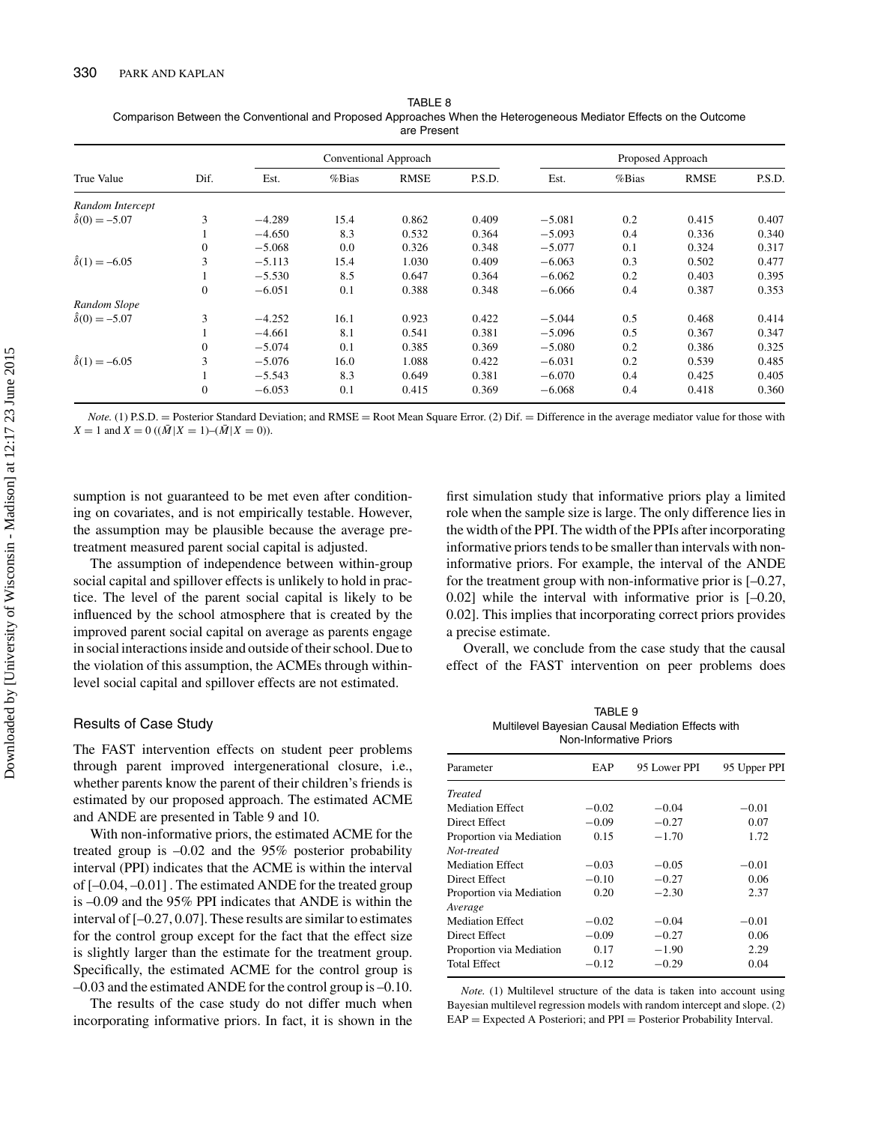|                            |                |                       |        | 100110      |        |          |        |                   |        |
|----------------------------|----------------|-----------------------|--------|-------------|--------|----------|--------|-------------------|--------|
|                            |                | Conventional Approach |        |             |        |          |        | Proposed Approach |        |
| True Value                 | Dif.           | Est.                  | % Bias | <b>RMSE</b> | P.S.D. | Est.     | % Bias | RMSE              | P.S.D. |
| Random Intercept           |                |                       |        |             |        |          |        |                   |        |
| $\ddot{\delta}(0) = -5.07$ | 3              | $-4.289$              | 15.4   | 0.862       | 0.409  | $-5.081$ | 0.2    | 0.415             | 0.407  |
|                            |                | $-4.650$              | 8.3    | 0.532       | 0.364  | $-5.093$ | 0.4    | 0.336             | 0.340  |
|                            | $\overline{0}$ | $-5.068$              | 0.0    | 0.326       | 0.348  | $-5.077$ | 0.1    | 0.324             | 0.317  |
| $\hat{\delta}(1) = -6.05$  | 3              | $-5.113$              | 15.4   | 1.030       | 0.409  | $-6.063$ | 0.3    | 0.502             | 0.477  |
|                            |                | $-5.530$              | 8.5    | 0.647       | 0.364  | $-6.062$ | 0.2    | 0.403             | 0.395  |
|                            | $\Omega$       | $-6.051$              | 0.1    | 0.388       | 0.348  | $-6.066$ | 0.4    | 0.387             | 0.353  |
| Random Slope               |                |                       |        |             |        |          |        |                   |        |
| $\hat{\delta}(0) = -5.07$  | 3              | $-4.252$              | 16.1   | 0.923       | 0.422  | $-5.044$ | 0.5    | 0.468             | 0.414  |
|                            |                | $-4.661$              | 8.1    | 0.541       | 0.381  | $-5.096$ | 0.5    | 0.367             | 0.347  |
|                            | $\theta$       | $-5.074$              | 0.1    | 0.385       | 0.369  | $-5.080$ | 0.2    | 0.386             | 0.325  |
| $\hat{\delta}(1) = -6.05$  | 3              | $-5.076$              | 16.0   | 1.088       | 0.422  | $-6.031$ | 0.2    | 0.539             | 0.485  |
|                            |                | $-5.543$              | 8.3    | 0.649       | 0.381  | $-6.070$ | 0.4    | 0.425             | 0.405  |
|                            | $\Omega$       | $-6.053$              | 0.1    | 0.415       | 0.369  | $-6.068$ | 0.4    | 0.418             | 0.360  |

TABLE 8 Comparison Between the Conventional and Proposed Approaches When the Heterogeneous Mediator Effects on the Outcome are Present

*Note.* (1) P.S.D. = Posterior Standard Deviation; and RMSE = Root Mean Square Error. (2) Dif. = Difference in the average mediator value for those with  $X = 1$  and  $X = 0$  (( $\overline{M} | X = 1$ )–( $\overline{M} | X = 0$ )).

sumption is not guaranteed to be met even after conditioning on covariates, and is not empirically testable. However, the assumption may be plausible because the average pretreatment measured parent social capital is adjusted.

The assumption of independence between within-group social capital and spillover effects is unlikely to hold in practice. The level of the parent social capital is likely to be influenced by the school atmosphere that is created by the improved parent social capital on average as parents engage in social interactions inside and outside of their school. Due to the violation of this assumption, the ACMEs through withinlevel social capital and spillover effects are not estimated.

## Results of Case Study

The FAST intervention effects on student peer problems through parent improved intergenerational closure, i.e., whether parents know the parent of their children's friends is estimated by our proposed approach. The estimated ACME and ANDE are presented in Table 9 and 10.

With non-informative priors, the estimated ACME for the treated group is –0.02 and the 95% posterior probability interval (PPI) indicates that the ACME is within the interval of [–0.04, –0.01] . The estimated ANDE for the treated group is –0.09 and the 95% PPI indicates that ANDE is within the interval of [–0.27, 0.07]. These results are similar to estimates for the control group except for the fact that the effect size is slightly larger than the estimate for the treatment group. Specifically, the estimated ACME for the control group is –0.03 and the estimated ANDE for the control group is –0.10.

The results of the case study do not differ much when incorporating informative priors. In fact, it is shown in the first simulation study that informative priors play a limited role when the sample size is large. The only difference lies in the width of the PPI. The width of the PPIs after incorporating informative priors tends to be smaller than intervals with noninformative priors. For example, the interval of the ANDE for the treatment group with non-informative prior is [–0.27, 0.02] while the interval with informative prior is [–0.20, 0.02]. This implies that incorporating correct priors provides a precise estimate.

Overall, we conclude from the case study that the causal effect of the FAST intervention on peer problems does

TABLE 9 Multilevel Bayesian Causal Mediation Effects with Non-Informative Priors

| Parameter                | EAP     | 95 Lower PPI | 95 Upper PPI |
|--------------------------|---------|--------------|--------------|
| <b>Treated</b>           |         |              |              |
| <b>Mediation Effect</b>  | $-0.02$ | $-0.04$      | $-0.01$      |
| Direct Effect            | $-0.09$ | $-0.27$      | 0.07         |
| Proportion via Mediation | 0.15    | $-1.70$      | 1.72         |
| Not-treated              |         |              |              |
| <b>Mediation Effect</b>  | $-0.03$ | $-0.05$      | $-0.01$      |
| Direct Effect            | $-0.10$ | $-0.27$      | 0.06         |
| Proportion via Mediation | 0.20    | $-2.30$      | 2.37         |
| Average                  |         |              |              |
| <b>Mediation Effect</b>  | $-0.02$ | $-0.04$      | $-0.01$      |
| Direct Effect            | $-0.09$ | $-0.27$      | 0.06         |
| Proportion via Mediation | 0.17    | $-1.90$      | 2.29         |
| <b>Total Effect</b>      | $-0.12$ | $-0.29$      | 0.04         |
|                          |         |              |              |

*Note.* (1) Multilevel structure of the data is taken into account using Bayesian multilevel regression models with random intercept and slope. (2)  $EAP = Expected A Posterior$ ; and  $PPI = Posterior Probability Interval$ .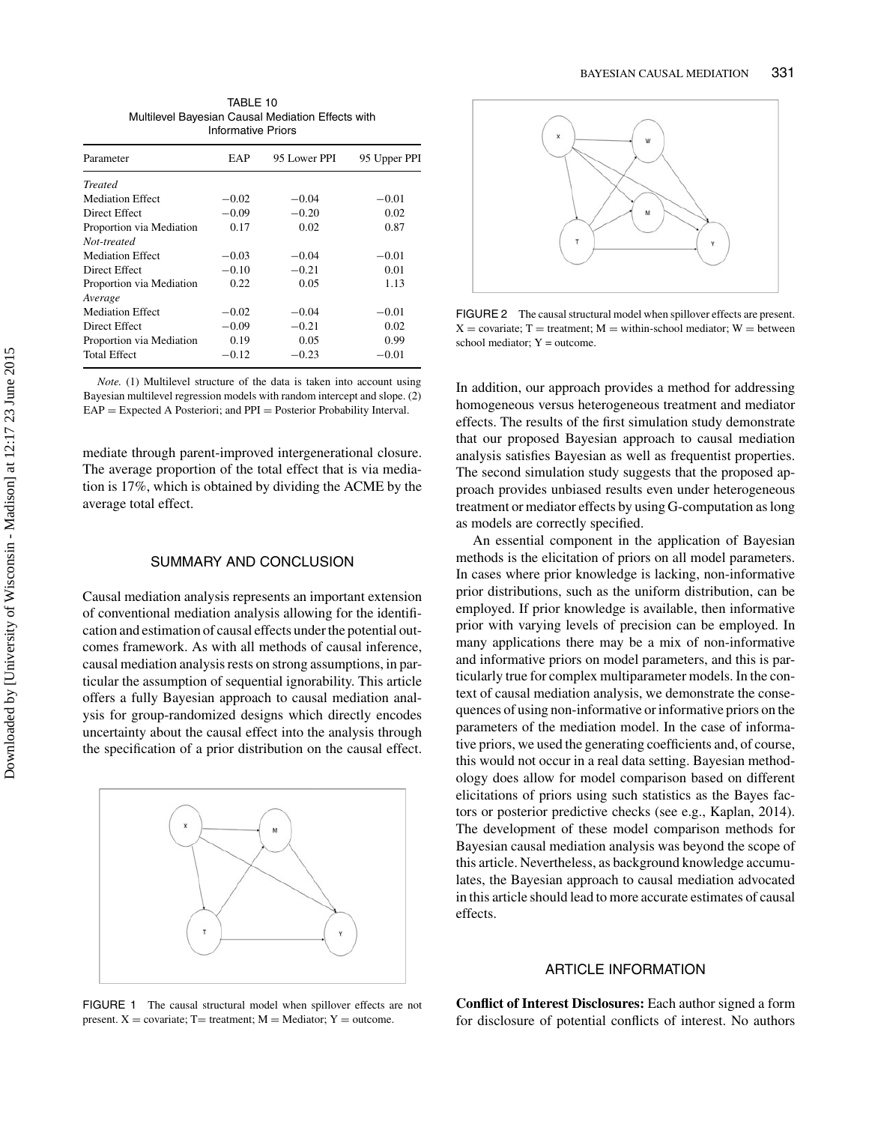| Informative Priors       |         |              |              |  |  |  |  |  |
|--------------------------|---------|--------------|--------------|--|--|--|--|--|
| Parameter                | EAP     | 95 Lower PPI | 95 Upper PPI |  |  |  |  |  |
| <b>Treated</b>           |         |              |              |  |  |  |  |  |
| <b>Mediation Effect</b>  | $-0.02$ | $-0.04$      | $-0.01$      |  |  |  |  |  |
| Direct Effect            | $-0.09$ | $-0.20$      | 0.02         |  |  |  |  |  |
| Proportion via Mediation | 0.17    | 0.02         | 0.87         |  |  |  |  |  |
| Not-treated              |         |              |              |  |  |  |  |  |
| <b>Mediation Effect</b>  | $-0.03$ | $-0.04$      | $-0.01$      |  |  |  |  |  |
| Direct Effect            | $-0.10$ | $-0.21$      | 0.01         |  |  |  |  |  |
| Proportion via Mediation | 0.22    | 0.05         | 1.13         |  |  |  |  |  |
| Average                  |         |              |              |  |  |  |  |  |
| <b>Mediation Effect</b>  | $-0.02$ | $-0.04$      | $-0.01$      |  |  |  |  |  |
| Direct Effect            | $-0.09$ | $-0.21$      | 0.02         |  |  |  |  |  |
| Proportion via Mediation | 0.19    | 0.05         | 0.99         |  |  |  |  |  |
| <b>Total Effect</b>      | $-0.12$ | $-0.23$      | $-0.01$      |  |  |  |  |  |
|                          |         |              |              |  |  |  |  |  |

TABLE 10 Multilevel Bayesian Causal Mediation Effects with

*Note.* (1) Multilevel structure of the data is taken into account using Bayesian multilevel regression models with random intercept and slope. (2) EAP = Expected A Posteriori; and PPI = Posterior Probability Interval.

mediate through parent-improved intergenerational closure. The average proportion of the total effect that is via mediation is 17%, which is obtained by dividing the ACME by the average total effect.

## SUMMARY AND CONCLUSION

Causal mediation analysis represents an important extension of conventional mediation analysis allowing for the identification and estimation of causal effects under the potential outcomes framework. As with all methods of causal inference, causal mediation analysis rests on strong assumptions, in particular the assumption of sequential ignorability. This article offers a fully Bayesian approach to causal mediation analysis for group-randomized designs which directly encodes uncertainty about the causal effect into the analysis through the specification of a prior distribution on the causal effect.



FIGURE 1 The causal structural model when spillover effects are not present.  $X = covariate$ ; T= treatment; M = Mediator; Y = outcome.



FIGURE 2 The causal structural model when spillover effects are present.  $X =$  covariate; T = treatment; M = within-school mediator; W = between school mediator;  $Y =$  outcome.

In addition, our approach provides a method for addressing homogeneous versus heterogeneous treatment and mediator effects. The results of the first simulation study demonstrate that our proposed Bayesian approach to causal mediation analysis satisfies Bayesian as well as frequentist properties. The second simulation study suggests that the proposed approach provides unbiased results even under heterogeneous treatment or mediator effects by using G-computation as long as models are correctly specified.

An essential component in the application of Bayesian methods is the elicitation of priors on all model parameters. In cases where prior knowledge is lacking, non-informative prior distributions, such as the uniform distribution, can be employed. If prior knowledge is available, then informative prior with varying levels of precision can be employed. In many applications there may be a mix of non-informative and informative priors on model parameters, and this is particularly true for complex multiparameter models. In the context of causal mediation analysis, we demonstrate the consequences of using non-informative or informative priors on the parameters of the mediation model. In the case of informative priors, we used the generating coefficients and, of course, this would not occur in a real data setting. Bayesian methodology does allow for model comparison based on different elicitations of priors using such statistics as the Bayes factors or posterior predictive checks (see e.g., Kaplan, 2014). The development of these model comparison methods for Bayesian causal mediation analysis was beyond the scope of this article. Nevertheless, as background knowledge accumulates, the Bayesian approach to causal mediation advocated in this article should lead to more accurate estimates of causal effects.

# ARTICLE INFORMATION

**Conflict of Interest Disclosures:** Each author signed a form for disclosure of potential conflicts of interest. No authors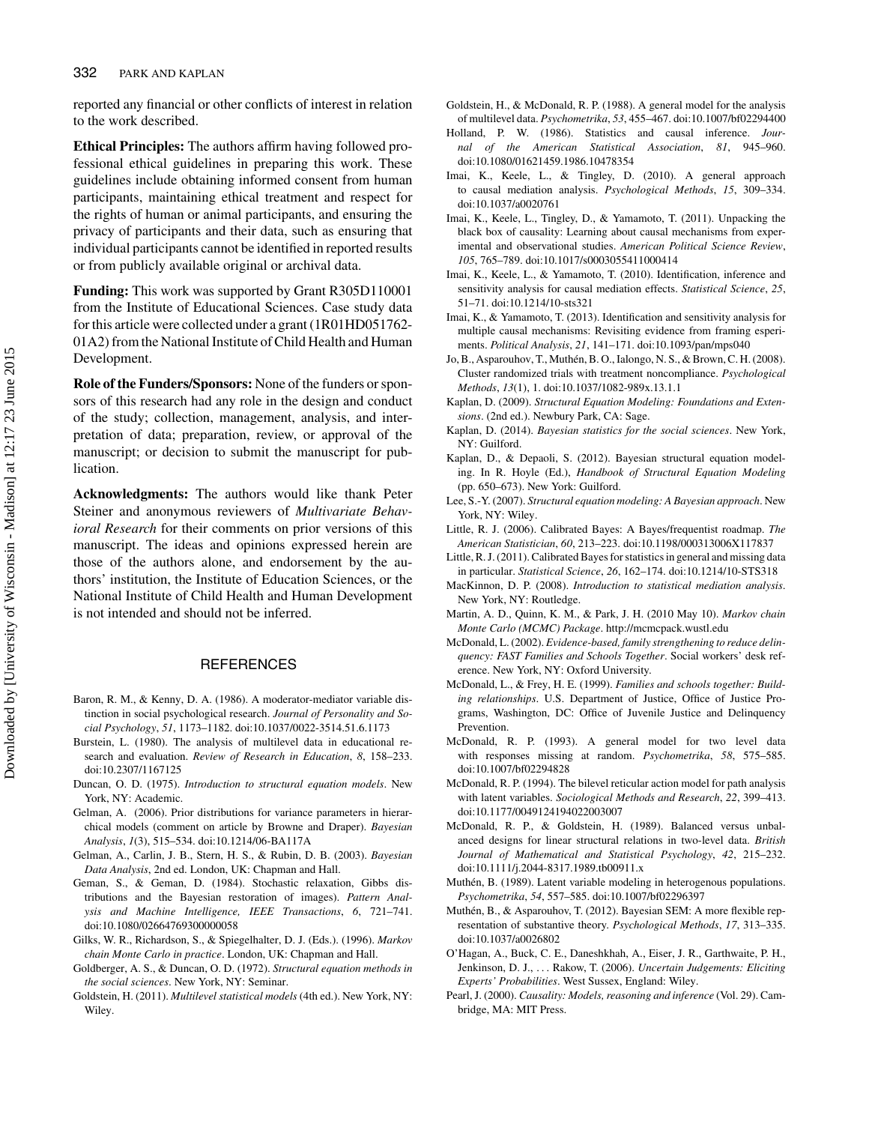reported any financial or other conflicts of interest in relation to the work described.

**Ethical Principles:** The authors affirm having followed professional ethical guidelines in preparing this work. These guidelines include obtaining informed consent from human participants, maintaining ethical treatment and respect for the rights of human or animal participants, and ensuring the privacy of participants and their data, such as ensuring that individual participants cannot be identified in reported results or from publicly available original or archival data.

**Funding:** This work was supported by Grant R305D110001 from the Institute of Educational Sciences. Case study data for this article were collected under a grant (1R01HD051762- 01A2) from the National Institute of Child Health and Human Development.

**Role of the Funders/Sponsors:** None of the funders or sponsors of this research had any role in the design and conduct of the study; collection, management, analysis, and interpretation of data; preparation, review, or approval of the manuscript; or decision to submit the manuscript for publication.

**Acknowledgments:** The authors would like thank Peter Steiner and anonymous reviewers of *Multivariate Behavioral Research* for their comments on prior versions of this manuscript. The ideas and opinions expressed herein are those of the authors alone, and endorsement by the authors' institution, the Institute of Education Sciences, or the National Institute of Child Health and Human Development is not intended and should not be inferred.

# **REFERENCES**

- Baron, R. M., & Kenny, D. A. (1986). A moderator-mediator variable distinction in social psychological research. *Journal of Personality and Social Psychology*, *51*, 1173–1182. doi:10.1037/0022-3514.51.6.1173
- Burstein, L. (1980). The analysis of multilevel data in educational research and evaluation. *Review of Research in Education*, *8*, 158–233. doi:10.2307/1167125
- Duncan, O. D. (1975). *Introduction to structural equation models*. New York, NY: Academic.
- Gelman, A. (2006). Prior distributions for variance parameters in hierarchical models (comment on article by Browne and Draper). *Bayesian Analysis*, *1*(3), 515–534. doi:10.1214/06-BA117A
- Gelman, A., Carlin, J. B., Stern, H. S., & Rubin, D. B. (2003). *Bayesian Data Analysis*, 2nd ed. London, UK: Chapman and Hall.
- Geman, S., & Geman, D. (1984). Stochastic relaxation, Gibbs distributions and the Bayesian restoration of images). *Pattern Analysis and Machine Intelligence, IEEE Transactions*, *6*, 721–741. doi:10.1080/02664769300000058
- Gilks, W. R., Richardson, S., & Spiegelhalter, D. J. (Eds.). (1996). *Markov chain Monte Carlo in practice*. London, UK: Chapman and Hall.
- Goldberger, A. S., & Duncan, O. D. (1972). *Structural equation methods in the social sciences*. New York, NY: Seminar.
- Goldstein, H. (2011). *Multilevel statistical models* (4th ed.). New York, NY: Wiley.
- Goldstein, H., & McDonald, R. P. (1988). A general model for the analysis of multilevel data. *Psychometrika*, *53*, 455–467. doi:10.1007/bf02294400
- Holland, P. W. (1986). Statistics and causal inference. *Journal of the American Statistical Association*, *81*, 945–960. doi:10.1080/01621459.1986.10478354
- Imai, K., Keele, L., & Tingley, D. (2010). A general approach to causal mediation analysis. *Psychological Methods*, *15*, 309–334. doi:10.1037/a0020761
- Imai, K., Keele, L., Tingley, D., & Yamamoto, T. (2011). Unpacking the black box of causality: Learning about causal mechanisms from experimental and observational studies. *American Political Science Review*, *105*, 765–789. doi:10.1017/s0003055411000414
- Imai, K., Keele, L., & Yamamoto, T. (2010). Identification, inference and sensitivity analysis for causal mediation effects. *Statistical Science*, *25*, 51–71. doi:10.1214/10-sts321
- Imai, K., & Yamamoto, T. (2013). Identification and sensitivity analysis for multiple causal mechanisms: Revisiting evidence from framing esperiments. *Political Analysis*, *21*, 141–171. doi:10.1093/pan/mps040
- Jo, B., Asparouhov, T., Muthén, B. O., Ialongo, N. S., & Brown, C. H. (2008). Cluster randomized trials with treatment noncompliance. *Psychological Methods*, *13*(1), 1. doi:10.1037/1082-989x.13.1.1
- Kaplan, D. (2009). *Structural Equation Modeling: Foundations and Extensions*. (2nd ed.). Newbury Park, CA: Sage.
- Kaplan, D. (2014). *Bayesian statistics for the social sciences*. New York, NY: Guilford.
- Kaplan, D., & Depaoli, S. (2012). Bayesian structural equation modeling. In R. Hoyle (Ed.), *Handbook of Structural Equation Modeling* (pp. 650–673). New York: Guilford.
- Lee, S.-Y. (2007). *Structural equation modeling: A Bayesian approach*. New York, NY: Wiley.
- Little, R. J. (2006). Calibrated Bayes: A Bayes/frequentist roadmap. *The American Statistician*, *60*, 213–223. doi:10.1198/000313006X117837
- Little, R. J. (2011). Calibrated Bayes for statistics in general and missing data in particular. *Statistical Science*, *26*, 162–174. doi:10.1214/10-STS318
- MacKinnon, D. P. (2008). *Introduction to statistical mediation analysis*. New York, NY: Routledge.
- Martin, A. D., Quinn, K. M., & Park, J. H. (2010 May 10). *Markov chain Monte Carlo (MCMC) Package*. http://mcmcpack.wustl.edu
- McDonald, L. (2002). *Evidence-based, family strengthening to reduce delinquency: FAST Families and Schools Together*. Social workers' desk reference. New York, NY: Oxford University.
- McDonald, L., & Frey, H. E. (1999). *Families and schools together: Building relationships*. U.S. Department of Justice, Office of Justice Programs, Washington, DC: Office of Juvenile Justice and Delinquency Prevention.
- McDonald, R. P. (1993). A general model for two level data with responses missing at random. *Psychometrika*, *58*, 575–585. doi:10.1007/bf02294828
- McDonald, R. P. (1994). The bilevel reticular action model for path analysis with latent variables. *Sociological Methods and Research*, *22*, 399–413. doi:10.1177/0049124194022003007
- McDonald, R. P., & Goldstein, H. (1989). Balanced versus unbalanced designs for linear structural relations in two-level data. *British Journal of Mathematical and Statistical Psychology*, *42*, 215–232. doi:10.1111/j.2044-8317.1989.tb00911.x
- Muthén, B. (1989). Latent variable modeling in heterogenous populations. *Psychometrika*, *54*, 557–585. doi:10.1007/bf02296397
- Muthén, B., & Asparouhov, T. (2012). Bayesian SEM: A more flexible representation of substantive theory. *Psychological Methods*, *17*, 313–335. doi:10.1037/a0026802
- O'Hagan, A., Buck, C. E., Daneshkhah, A., Eiser, J. R., Garthwaite, P. H., Jenkinson, D. J., *...* Rakow, T. (2006). *Uncertain Judgements: Eliciting Experts' Probabilities*. West Sussex, England: Wiley.
- Pearl, J. (2000). *Causality: Models, reasoning and inference* (Vol. 29). Cambridge, MA: MIT Press.